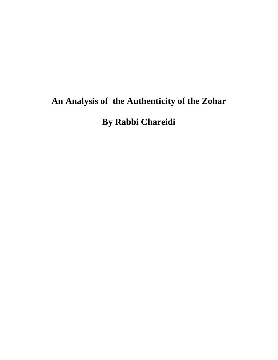# **An Analysis of the Authenticity of the Zohar**

**By Rabbi Chareidi**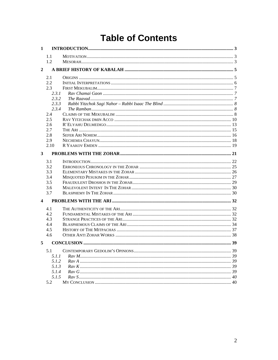# **Table of Contents**

| 1                       |       |  |
|-------------------------|-------|--|
|                         | 1.1   |  |
|                         | 1.2   |  |
| $\overline{2}$          |       |  |
|                         | 2.1   |  |
|                         | 2.2   |  |
|                         | 2.3   |  |
|                         | 2.3.1 |  |
|                         | 2.3.2 |  |
|                         | 2.3.3 |  |
|                         | 2.3.4 |  |
|                         | 2.4   |  |
|                         | 2.5   |  |
|                         | 2.6   |  |
|                         | 2.7   |  |
|                         | 2.8   |  |
|                         | 2.9   |  |
|                         | 2.10  |  |
| 3                       |       |  |
|                         | 3.1   |  |
|                         | 3.2   |  |
|                         | 3.3   |  |
|                         | 3.4   |  |
|                         | 3.5   |  |
|                         | 3.6   |  |
|                         | 3.7   |  |
| $\overline{\mathbf{4}}$ |       |  |
|                         | 4.1   |  |
|                         | 4.2   |  |
|                         | 4.3   |  |
|                         | 4.4   |  |
|                         | 4.5   |  |
|                         | 4.6   |  |
| 5                       |       |  |
|                         | 5.1   |  |
|                         | 5.1.1 |  |
|                         | 5.1.2 |  |
|                         | 5.1.3 |  |
|                         | 5.1.4 |  |
|                         | 5.1.5 |  |
|                         | 5.2   |  |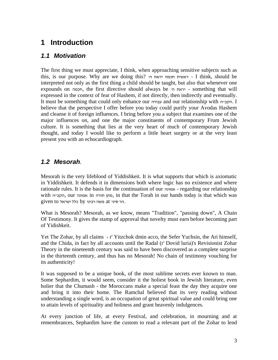## <span id="page-2-0"></span>**1 Introduction**

#### *1.1 Motivation*

The first thing we must appreciate, I think, when approaching sensitive subjects such as this, is our purpose. Why are we doing this? 'ה יראת חכמה ראשית - I think, should be interpreted not only as the first thing a child should be taught, but also that whenever one expounds on חכמה, the first directive should always be 'ה יראת - something that will expressed in the context of fear of Hashem, if not directly, then indirectly and eventually. It must be something that could only enhance our עבודה and our relationship with ה"הקב. I believe that the perspective I offer before you today could purify your Avodas Hashem and cleanse it of foreign influences. I bring before you a subject that examines one of the major influences on, and one the major constituents of contemporary Frum Jewish culture. It is something that lies at the very heart of much of contemporary Jewish thought, and today I would like to perform a little heart surgery or at the very least present you with an echocardiograph.

#### *1.2 Mesorah.*

Mesorah is the very lifeblood of Yiddishkeit. It is what supports that which is axiomatic in Yiddishkeit. It defends it in dimensions both where logic has no existence and where rationale rules. It is the basis for the continuation of our אמונה - regarding our relationship with הקבייה, our הקבייה, in that the Torah in our hands today is that which was  $e$  at הר סיני at משה רבינו by הר סיני.

What is Mesorah? Mesorah, as we know, means "Tradition", "passing down", A Chain Of Testimony. It gives the stamp of approval that novelty must earn before becoming part of Yidishkeit.

Yet The Zohar, by all claims - r' Yitzchok dmin acco, the Sefer Yuchsin, the Ari himself, and the Chida, in fact by all accounts until the Radal (r' Dovid luria)'s Revisionist Zohar Theory in the nineteenth century was said to have been discovered as a complete surprise in the thirteenth century, and thus has no Mesorah! No chain of testimony vouching for its authenticity!

It was supposed to be a unique book, of the most sublime secrets ever known to man. Some Sephardim, it would seem, consider it the holiest book in Jewish literature, even holier that the Chumash - the Moroccans make a special feast the day they acquire one and bring it into their home. The Ramchal believed that its very reading without understanding a single word, is an occupation of great spiritual value and could bring one to attain levels of spirituality and holiness and grant heavenly indulgences.

At every junction of life, at every Festival, and celebration, in mourning and at remembrances, Sephardim have the custom to read a relevant part of the Zohar to lend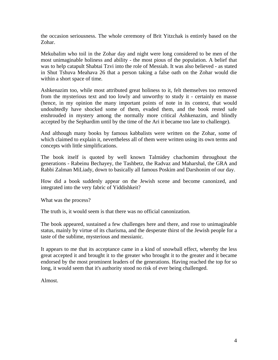the occasion seriousness. The whole ceremony of Brit Yitzchak is entirely based on the Zohar.

Mekubalim who toil in the Zohar day and night were long considered to be men of the most unimaginable holiness and ability - the most pious of the population. A belief that was to help catapult Shabtai Tzvi into the role of Messiah. It was also believed - as stated in Shut Tshuva Meahava 26 that a person taking a false oath on the Zohar would die within a short space of time.

Ashkenazim too, while most attributed great holiness to it, felt themselves too removed from the mysterious text and too lowly and unworthy to study it - certainly en masse (hence, in my opinion the many important points of note in its context, that would undoubtedly have shocked some of them, evaded them, and the book rested safe enshrouded in mystery among the normally more critical Ashkenazim, and blindly accepted by the Sephardim until by the time of the Ari it became too late to challenge).

And although many books by famous kabbalists were written on the Zohar, some of which claimed to explain it, nevertheless all of them were written using its own terms and concepts with little simplifications.

The book itself is quoted by well known Talmidey chachomim throughout the generations - Rabeinu Bechayey, the Tashbetz, the Radvaz and Maharshal, the GRA and Rabbi Zalman MiLiady, down to basically all famous Poskim and Darshonim of our day.

How did a book suddenly appear on the Jewish scene and become canonized, and integrated into the very fabric of Yiddishkeit?

What was the process?

The truth is, it would seem is that there was no official canonization.

The book appeared, sustained a few challenges here and there, and rose to unimaginable status, mainly by virtue of its charisma, and the desperate thirst of the Jewish people for a taste of the sublime, mysterious and messianic.

It appears to me that its acceptance came in a kind of snowball effect, whereby the less great accepted it and brought it to the greater who brought it to the greater and it became endorsed by the most prominent leaders of the generations. Having reached the top for so long, it would seem that it's authority stood no risk of ever being challenged.

Almost.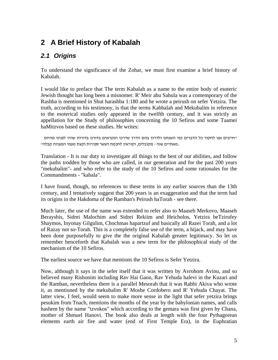# <span id="page-4-0"></span>**2 A Brief History of Kabalah**

## *2.1 Origins*

To understand the significance of the Zohar, we must first examine a brief history of Kabalah.

I would like to preface that The term Kabalah as a name to the entire body of esoteric Jewish thought has long been a misnomer. R' Meir abu Sahula was a contemporary of the Rashba is mentioned in Shut harashba 1:180 and he wrote a peirush on sefer Yetzira. The truth, according to his testimony, is that the terms Kabbalah and Mekubalim in reference to the esoterical studies only appeared in the twelfth century, and it was strictly an appellation for the Study of philosophies concerning the 10 Sefiros and some Taamei haMitzvos based on these studies. He writes:

"חייבים אנו לחקור כל הדברים כפי השגתנו ולדרוך בהם הדרך שדרכו הנקראים בדורנו בדורות שהיו לפנינו מהיום .מאתיים שנה - מקובלים, וקוראין לחכמת העשר ספירות וקצת טעמי המצוות קבלה"

Translation - It is our duty to investigate all things to the best of our abilities, and follow the paths trodden by those who are called, in our generation and for the past 200 years "mekubalim"- and who refer to the study of the 10 Sefiros and some rationales for the Commandments - "kabala".

I have found, though, no references to these terms in any earlier sources than the 13th century, and I tentatively suggest that 200 years is an exaggeration and that the term had its origins in the Hakdoma of the Ramban's Peirush haTorah - see there.

Much later, the use of the name was extended to refer also to Maaseh Merkovo, Maaseh Berayshis, Sidrei Malochim and Sidrei Rekiim and Heicholos, Yetzira beTzirufey Shaymos, Inyonay Gilgulim, Chochmas hapartzuf and basically all Razei Torah, and a lot of Razay not so-Torah. This is a completely false use of the term, a hijack, and may have been done purposefully to give the the original Kabalah greater legitimacy. So let us remember henceforth that Kabalah was a new term for the philosophical study of the mechanism of the 10 Sefiros.

The earliest source we have that mentions the 10 Sefiros is Sefer Yetzira.

Now, although it says in the sefer itself that it was written by Avrohom Avinu, and so believed many Rishonim including Rav Hai Gaon, Rav Yehuda halevi in the Kuzari and the Ramban, nevertheless there is a parallel Mesorah that it was Rabbi Akiva who wrote it, as mentioned by the mekubalim R' Moshe Cordobero and R' Yehuda Chayat. The latter view, I feel, would seem to make more sense in the light that sefer yetzira brings pesukim from Tnach, mentions the months of the year by the babylonian names, and calls hashem by the name "tzvokos" which according to the gemara was first given by Chana, mother of Shmuel Hanovi. The book also deals at length with the four Pythagorean elements earth air fire and water (end of First Temple Era), in the Euphratian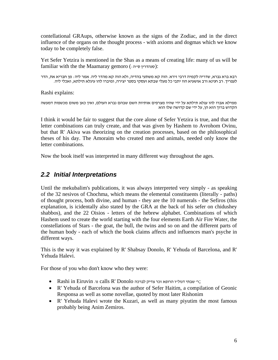<span id="page-5-0"></span>contellational GRAups, otherwise known as the signs of the Zodiac, and in the direct influence of the organs on the thought process - with axioms and dogmas which we know today to be completely false.

Yet Sefer Yetzira is mentioned in the Shas as a means of creating life: many of us will be

familiar with the the Maamaray gemoro (: סנהדרין ס׳יה):<br>רבא ברא גברא, שדריה לקמיה דרבי זירא. הוה קא משתעי בהדיה, ולא הוה קא מהדר ליה. אמר ליה : מן חבריא את, הדר<br>לעפריך. רב חנינא ורב אושעיא הוו יתבי כל מעלי שבתא ועסקי בספר

Rashi explains:

ממילא אברו להו עגלא תילתא על ידי שהיו מצרפים אותיות השם שבהם נברא העולם, ואין כאן משום מכשפות דמעשה<br>הקדוש ברוך הוא הן, על ידי שם קדושה שלו הוא

I think it would be fair to suggest that the core alone of Sefer Yetzira is true, and that the letter combinations can truly create, and that was given by Hashem to Avrohom Ovinu, but that R' Akiva was theorizing on the creation processes, based on the philosophical theses of his day. The Amoraim who created men and animals, needed only know the letter combinations.

Now the book itself was interpreted in many different way throughout the ages.

#### *2.2 Initial Interpretations*

Until the mekubalim's publications, it was always interpreted very simply - as speaking of the 32 nesivos of Chochma, which means the elemental constituents (literally - paths) of thought process, both divine, and human - they are the 10 numerals - the Sefiros (this explanation, is icidentally also stated by the GRA at the back of his sefer on chidushey shabbos), and the 22 Oisios - letters of the hebrew alphabet. Combinations of which Hashem used to create the world starting with the four elements Earth Air Fire Water, the constellations of Stars - the goat, the bull, the twins and so on and the different parts of the human body - each of which the book claims affects and influences man's psyche in different ways.

This is the way it was explained by R' Shabsay Donolo, R' Yehuda of Barcelona, and R' Yehuda Halevi.

For those of you who don't know who they were:

- ;ר' שבתי דנול"ו הרופא זכר צדיק לברכה Donolo' R calls נו. Eiruvin in Rashi•
- R' Yehuda of Barcelona was the author of Sefer Haitim, a compilation of Geonic Responsa as well as some novellae, quoted by most later Rishonim
- R' Yehuda Halevi wrote the Kuzari, as well as many piyutim the most famous probably being Anim Zemiros.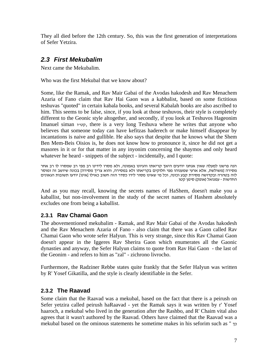<span id="page-6-0"></span>They all died before the 12th century. So, this was the first generation of interpretations of Sefer Yetzira.

#### *2.3 First Mekubalim*

Next came the Mekubalim.

Who was the first Mekubal that we know about?

Some, like the Ramak, and Rav Mair Gabai of the Avodas hakodesh and Rav Menachem Azaria of Fano claim that Rav Hai Gaon was a kabbalist, based on some fictitious teshuvas "quoted" in certain kabala books, and several Kabalah books are also ascribed to him. This seems to be false, since, if you look at those teshuvos, their style is completely different to the Geonic style altogether, and secondly, if you look at Teshuvos Hageonim Imanuel siman קטיי, there is a very long Teshuva where he writes that anyone who believes that someone today can have kefitzas haderech or make himself disappear by incantations is naive and gullible. He also says that despite that he knows what the Shem Ben Mem-Beis Oisios is, he does not know how to pronounce it, since he did not get a masores in it or for that matter in any inyonim concerning the shaymos and only heard whatever he heard - snippets of the subject - incidentally, and I quote:

הנה פרשנו למעלה שאין אנחנו יודעים היאך קריאתו והגיונו באמונה, ולא מסרו לידינו רב מפי רב שמסרו לו רב אחר מסירה [משולשת, אלא ארעי שמענוהו מפי חלוקים בקריאתו ולא במסירה, והוא צריך מסירה] בכונה שיושב זה ומוסר לזה בטהרה ובקדושה מסירת קבע וכונה, וכל מי שאינו מסור לידו כסדר הזה חשוב כאילו [אינו] יודעו תשובות הגאונים<br>החדשות - עמנואל (אופק) סימן קטו

And as you may recall, knowing the secrets names of HaShem, doesn't make you a kaballist, but non-involvement in the study of the secret names of Hashem absolutely excludes one from being a kaballist.

#### **2.3.1 Rav Chamai Gaon**

The abovementioned mekubalim - Ramak, and Rav Mair Gabai of the Avodas hakodesh and the Rav Menachem Azaria of Fano - also claim that there was a Gaon called Rav Chamai Gaon who wrote sefer HaIyun. This is very strange, since this Rav Chamai Gaon doesn't appear in the Iggeres Rav Sherira Gaon which enumerates all the Gaonic dynasties and anyway, the Sefer HaIyun claims to quote from Rav Hai Gaon - the last of the Geonim - and refers to him as "zal" - zichrono livrocho.

Furthermore, the Radziner Rebbe states quite frankly that the Sefer HaIyun was written by R' Yosef Gikatilla, and the style is clearly identifiable in the Sefer.

#### **2.3.2 The Raavad**

Some claim that the Raavad was a mekubal, based on the fact that there is a peirush on Sefer yetzira called peirush haRaavad - yet the Ramak says it was written by r' Yosef haaroch, a mekubal who lived in the generation after the Rashbo, and R' Chaim vital also agrees that it wasn't authored by the Raavad. Others have claimed that the Raavad was a mekubal based on the ominous statements he sometime makes in his seforim such as " כך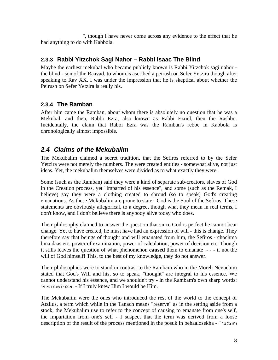<span id="page-7-0"></span>", though I have never come across any evidence to the effect that he had anything to do with Kabbola.

#### **2.3.3 Rabbi Yitzchok Sagi Nahor – Rabbi Isaac The Blind**

Maybe the earliest mekubal who became publicly known is Rabbi Yitzchok sagi nahor the blind - son of the Raavad, to whom is ascribed a peirush on Sefer Yetzira though after speaking to Rav XX, I was under the impression that he is skeptical about whether the Peirush on Sefer Yetzira is really his.

#### **2.3.4 The Ramban**

After him came the Ramban, about whom there is absolutely no question that he was a Mekubal, and then, Rabbi Ezra, also known as Rabbi Ezriel, then the Rashbo. Incidentally, the claim that Rabbi Ezra was the Ramban's rebbe in Kabbola is chronologically almost impossible.

## *2.4 Claims of the Mekubalim*

The Mekubalim claimed a secret tradition, that the Sefiros referred to by the Sefer Yetzira were not merely the numbers. The were created entities - somewhat alive, not just ideas. Yet, the mekubalim themselves were divided as to what exactly they were.

Some (such as the Ramban) said they were a kind of separate sub-creators, slaves of God in the Creation process, yet "imparted of his essence", and some (such as the Remak, I believe) say they were a clothing created to shroud (so to speak) God's creating emanations. As these Mekubalim are prone to state - God is the Soul of the Sefiros. These statements are obviously allegorical, to a degree, though what they mean in real terms, I don't know, and I don't believe there is anybody alive today who does.

Their philosophy claimed to answer the question that since God is perfect he cannot bear change. Yet to have created, he must have had an expression of will - this is change. They therefore say that beings of thought and will emanated from him, the Sefiros - chochma bina daas etc. power of examination, power of calculation, power of decision etc. Though it stills leaves the question of what phenomenon **caused** them to emanate - - - if not the will of God himself! This, to the best of my knowledge, they do not answer.

Their philosophies were to stand in contrast to the Rambam who in the Moreh Nevuchim stated that God's Will and his, so to speak, "thought" are integral to his essence. We cannot understand his essence, and we shouldn't try - in the Rambam's own sharp words: הייתיו ידעתיו אילו. - If I truly knew Him I would be Him.

The Mekubalim were the ones who introduced the rest of the world to the concept of Atzilus, a term which while in the Tanach means "reserve" as in the setting aside from a stock, the Mekubalim use to refer to the concept of causing to emanate from one's self, the impartation from one's self - I suspect that the term was derived from a loose description of the result of the process mentioned in the posuk in behaalosekha - " מן ויאצל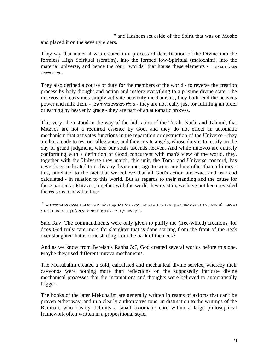" and Hashem set aside of the Spirit that was on Moshe and placed it on the seventy elders.

They say that material was created in a process of densification of the Divine into the formless High Spiritual (serafim), into the formed low-Spiritual (malochim), into the material universe, and hence the four "worlds" that house these elements - בריאה אצילות .יצירה עשייה

They also defined a course of duty for the members of the world - to reverse the creation process by holy thought and action and restore everything to a pristine divine state. The mitzvos and cavvonos simply activate heavenly mechanisms, they both lend the heavens power and milk them - שפע מוריד ,ניצוצות מעלה - they are not really just for fulfilling an order or earning by heavenly grace - they are part of an automatic process.

This very often stood in the way of the indication of the Torah, Nach, and Talmud, that Mitzvos are not a required essence by God, and they do not effect an automatic mechanism that activates functions in the reparation or destruction of the Universe - they are but a code to test our allegiance, and they create angels, whose duty is to testify on the day of grand judgment, when our souls ascends heaven. And while mitzvos are entirely conforming with a definition of Good concurrent with man's view of the world, they, together with the Universe they match, this unit, the Torah and Universe concord, has never been indicated to us by any divine message to seem anything other than arbitrary this, unrelated to the fact that we believe that all God's action are exact and true and calculated - in relation to this world. But as regards to their standing and the cause for these particular Mitzvos, together with the world they exist in, we have not been revealed the reasons. Chazal tell us:

רב אמר לא נתנו המצות אלא לצרף בהן את הבריות, וכי מה איכפת ליה להקב"ה למי ששוחט מן הצואר, או מי ששוחט " ."מן העורף, הוי:- לא נתנו המצות אלא לצרף בהם את הבריות

Said Rav: The commandments were only given to purify the (free-willed) creations, for does God truly care more for slaughter that is done starting from the front of the neck over slaughter that is done starting from the back of the neck?

And as we know from Bereishis Rabba 3:7, God created several worlds before this one. Maybe they used different mitzva mechanisms.

The Mekubalim created a cold, calculated and mechanical divine service, whereby their cavvonos were nothing more than reflections on the supposedly intricate divine mechanical processes that the incantations and thoughts were believed to automatically trigger.

The books of the later Mekubalim are generally written in reams of axioms that can't be proven either way, and in a clearly authoritative tone, in distinction to the writings of the Ramban, who clearly delimits a small axiomatic core within a large philosophical framework often written in a propositional style.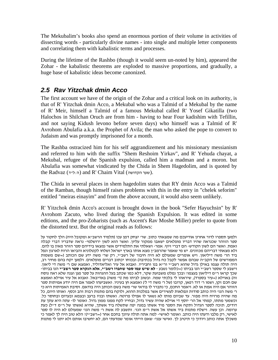<span id="page-9-0"></span>The Mekubalim's books also spend an enormous portion of their volume in activities of dissecting words - particularly divine names - into single and multiple letter components and correlating them with kabalistic terms and processes.

During the lifetime of the Rashbo (though it would seem un-noted by him), appeared the Zohar - the kabalistic theorems are exploded to massive proportions, and gradually, a huge base of kabalistic ideas become canonized.

## *2.5 Rav Yitzchak dmin Acco*

The first account we have of the origin of the Zohar and a critical look on its authority, is that of R' Yitzchak dmin Acco, a Mekubal who was a Talmid of a Mekubal by the name of R' Meir, himself a Talmid of a famous Mekubal called R' Yosef Gikatilla (two Halochos in Shilchan Oruch are from him - having to hear Four kadishim with Tefillin, and not saying Kidush levono before seven days) who himself was a Talmid of R' Avrohom Abulafia a.k.a. the Prophet of Avila; the man who asked the pope to convert to Judaism and was promptly imprisoned for a month.

The Rashba ostracized him for his self aggrandizement and his missionary messianism and referred to him with the suffix "Shem Reshoim Yirkav", and R' Yehuda chayat, a Mekubal, refugee of the Spanish expulsion, called him a madman and a moron. but Abulafia was somewhat vindicated by the Chida in Shem Hagedolim, and is quoted by the Radvaz (ה:לייד) and R' Chaim Vital (שער הקדושה).

The Chida in several places in shem hagedolim states that RY dmin Acco was a Talmid of the Ramban, though himself raises problems with this in the entry in "chelek seforim" entitled "meiras einayim" and from the above account, it would also seem unlikely.

R' Yitzchok dmin Acco's account is brought down in the book "Sefer Hayuchsin" by R' Avrohom Zacuto, who lived during the Spanish Expulsion. It was edited in some editions, and the pro-Zoharists (such as Ascent's Rav Moshe Miller) prefer to quote from the distorted text. But the original reads as follows:

ולמען תספרו לדור אחרון אודיעכם מה שמצאתי כתוב. שר' יצחק דמן עכו (תלמיד הרשב"א ומקובל היה) הלך לחקור על ספר הזוהר שכנראה שהיו דבריו מופלאים ישאבו ממקור עליון. ואשר הוא לשון ירושלמי- נראה שדבריו דברי קבלה ואמת. ואשר הם לשון הקודש- הם דברי זיוף. אמר- ושאלתי את התלמידים אשר נמצאו בידיהם ספר הזהר מאין בו להם. ולא מצאתי דבריהם מכוונים. יש מי שאמר שהרמב"ן מצא אותו בארץ ישראל ושלחו לקטלוניא והביאו הרוח לארגון ונפל ביד הר' משה דיליאון. ויש אומרים שמעולם לא היה חיבור של רשב"י, רק שר' משה ידע שם הכותב (=שם משמות המפורשים של הקב״ה שבהם אפשר לקבל כח גדול בכתיבה) ובכוחו יכתוב דברים מופלאים. ולמען יקח בהם מחיר רב,<br>היה תולה עצמו באילו גדול שהוא רשב״י ור״א בנו וחביריו. ואבוא אל עיר ואליאדוליד, ואמצא שם ר׳ משה די ליאון. וישבע לי שספר רשב "י הנו בביתו (=כלומר נשבע - **לא שיש עמו ספר שחברו רשב"י, אלא הנקרא ספר רשב"י** - הנו בביתו שכך קראו ר״מ דיליאון בעצמו! ובכך נמלט משבועת שקר, דלא כמו שכתב בעל ההגהות על ספר מגן וצנה שלא ראה נוסח זה) באוילא (=עיר בספרד), שיראהו לי בלכתי שמה. ובשוב לביתו מת (ר' משה) באדיבאל. ואבוא אל עיר אוילא ואמצא שם חכם זקן, ושמו ר' דוד רפאן, קרובו (של ר' משה די ל') ואמצא חן בעיניו. ואשביעהו לאמר אם היה יודע אמיתות ספר הזוהר אם היה אמת או לא. ויאמר החכם, כי נתברר לו בודאי שר׳ משה בשם הכותב היה בודאם. וסיבת האמיתות היא כי<br>ר׳ משה הנז׳ היה כותב סודות ונפלאות לעשירים אשר במלכות ההוא. ולוקח בהם מתנות רבות זהב וכסף. ואותו היום, כל מה שהיה מרויח היה מפזר. עד שביום מותו לא נשאר לו אפילו פרוטה. ואשתו ובניו ברעב ובצמא ובערום ובחוסר כל. וכשמעי מתתו, קמתי אל הר' יוסף די אוילא שהיה עשיר גדול, ובחייו לקח ממנו ממון גדול. ואומר לו - עתה היא עתך עת דודים, תזכה לספר הגדול ותקח את הספר מיד אשתו במנה יפה שתשלח ביד אשתך, שהיא (אשתו של ר"מ ד"ל) כעת ערומה. וכן עשה. וישלח מתנות ביד אשתו אל אשת ר"מ הנז'. ותשבע לה אשת ר' משה הנז' שמעולם לא היה לו ספר לאישי, רק מלבו ודעתו היה כותב. ואומר לאישי- למה אתה תולה עיונך בחכם אחר (=רשב"י)? הלא טוב היה לך לאמר כי משכלך אתה כותב ויודוך כי תיטיב לך. ואישי ענני- שאם הייתי אומר שמדעתי הם, לא יחשיבו אותם ולא יתנו לי מתנות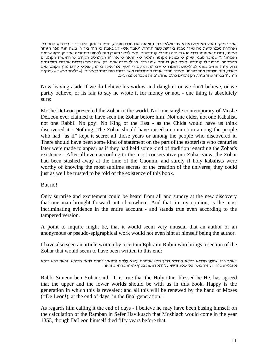אמר יצחק- ואסע מאוילא ואבוא עד טאלאבירה. ומצאתי שם חכם מופלא, ושמו ר' יוסף הלוי בן ר' טודרוס המקובל. ואחקרה ממנו לדעת מה שידו מגעת בידיעת ספר הזוהר. ויאמר אלי- דע באמת כי היה ביד ר' משה הנז' ספר הזוהר אמיתי, וסבות אמיתות דברי הוא כי היה נותן לי קונטרסים, ואני לבחון הספק הזה לקחתי קונטריס אחד מן הקונטרסים ואמרתי לו שנאבד ממני, שיתן לי ממלא מקומו. ויאמר לי- הראה לי אחרית הקונרטס הקודם לו וראשית הקונטרס המתאחר. ויכתוב לי קונטרס, וארא ואין ביניהם שינוי כלל. אפילו תיבה אחת. רק שפה אחת ודברים אחדים. היש נסיון גדול מזה? אח"כ באתי לטוליטולה ואמרו לי שבחינת החכם ר' יוסף הלוי אינה בחינה, שאולי קודם נתון הקונטרסים לאדם, היה מעתיק אחד לעצמו, ואח"כ מתוך אותם קונטרסים אשר בביתו היה כותב לאחרים. (=כלומר אפשר שעותקים היו עוד בביתו אחר מותו, רק ניכרים כולם שחדשים זה מכבר נכתבו) ע"כ.

Now leaving aside if we do believe his widow and daughter or we don't believe, or we partly believe, or its fair to say he wrote it for money or not, - one thing is absolutely sure:

Moshe DeLeon presented the Zohar to the world. Not one single contemporary of Moshe DeLeon ever claimed to have seen the Zohar before him! Not one elder, not one Kabalist, not one Rabbi! No goy! No King of the East - as the Chida would have us think discovered it - Nothing. The Zohar should have raised a commotion among the people who had "as if" kept it secret all those years or among the people who discovered it. There should have been some kind of statement on the part of the esoterists who centuries later were made to appear as if they had held some kind of tradition regarding the Zohar's existence - After all even according to the most conservative pro-Zohar view, the Zohar had been stashed away at the time of the Gaonim, and surely if holy kabalists were worthy of knowing the most sublime secrets of the creation of the universe, they could just as well be trusted to be told of the existence of this book.

#### But no!

Only surprise and excitement could be heard from all and sundry at the new discovery that one man brought forward out of nowhere. And that, in my opinion, is the most incriminating evidence in the entire account - and stands true even according to the tampered version.

A point to inquire might be, that it would seem very unusual that an author of an anonymous or pseudo-epigraphical work would not even hint at himself being the author.

I have also seen an article written by a certain Ephraim Rubin who brings a section of the Zohar that would seem to have been written to this end:

יאמר רבי שמעון חבריא בודאי קודשא בריך הוא אסתכם עמנא עלאין ותתאין למהוי בהאי חבורא. זכאה דרא דהאי<br>אתגלייא ביה. דעתיד כולי האי לאתחדשא על ידא דמשה בסוף יומיא בדרא בתראה״

Rabbi Simeon ben Yohai said, "It is true that the Holy One, blessed be He, has agreed that the upper and the lower worlds should be with us in this book. Happy is the generation in which this is revealed; and all this will be renewed by the hand of Moses (=De Leon!), at the end of days, in the final generation."

As regards him calling it the end of days - I believe he may have been basing himself on the calculation of the Ramban in Sefer Havikuach that Moshiach would come in the year 1353, though DeLeon himself died fifty years before that.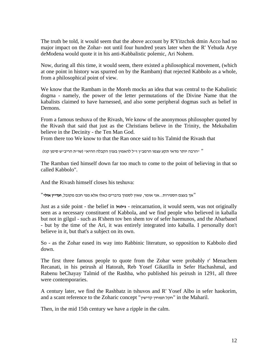The truth be told, it would seem that the above account by R'Yitzchok dmin Acco had no major impact on the Zohar- not until four hundred years later when the R' Yehuda Arye deModena would quote it in his anti-Kabbalistic polemic, Ari Nohem.

Now, during all this time, it would seem, there existed a philosophical movement, (which at one point in history was spurred on by the Rambam) that rejected Kabbolo as a whole, from a philosophical point of view.

We know that the Rambam in the Moreh mocks an idea that was central to the Kabalistic dogma - namely, the power of the letter permutations of the Divine Name that the kabalists claimed to have harnessed, and also some peripheral dogmas such as belief in Demons.

From a famous teshuva of the Rivash, We know of the anonymous philosopher quoted by the Rivash that said that just as the Christians believe in the Trinity, the Mekubalim believe in the Decinity - the Ten Man God.

From there too We know to that the Ran once said to his Talmid the Rivash that

" "הרבה יותר מדאי תקע עצמו הרמב"ן ז"ל להאמין בענין הקבלה ההיא" (שו"ת הריב"ש סימן קנז)

The Ramban tied himself down far too much to come to the point of believing in that so called Kabbolo".

And the Rivash himself closes his teshuva:

"אך בעצם הספירות...אני אומר, שאין לסמוך בדברים כאלו אלא מפי חכם מקובל, **ועדיין אולי**"

Just as a side point - the belief in **גילגול** - reincarnation, it would seem, was not originally seen as a necessary constituent of Kabbola, and we find people who believed in kaballa but not in gilgul - such as R'shem tov ben shem tov of sefer haemunos, and the Abarbanel - but by the time of the Ari, it was entirely integrated into kaballa. I personally don't believe in it, but that's a subject on its own.

So - as the Zohar eased its way into Rabbinic literature, so opposition to Kabbolo died down.

The first three famous people to quote from the Zohar were probably r' Menachem Recanati, in his peirush al Hatorah, Reb Yosef Gikatilla in Sefer Hachashmal, and Rabenu beChayay Talmid of the Rashba, who published his peirush in 1291, all three were contemporaries.

A century later, we find the Rashbatz in tshuvos and R' Yosef Albo in sefer haokorim, and a scant reference to the Zoharic concept "קדישין תפוחין חקל "in the Maharil.

Then, in the mid 15th century we have a ripple in the calm.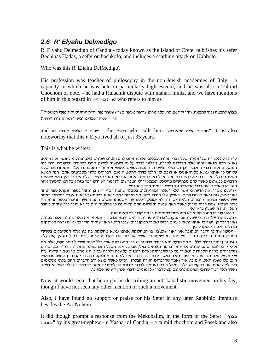#### <span id="page-12-0"></span>*2.6 R' Elyahu Delmedigo*

R' Elyahu Delmedigo of Candia - today known as the Island of Crete, publishes his sefer Bechinas Hadas, a sefer on hashkofo, and includes a scathing attack on Kabbolo.

Who was this R' Eliahu DelMedigo?

His profession was teacher of philosophy in the non-Jewish academies of Italy - a capacity in which he was held in particularly high esteem, and he was also a Talmid Chochom of note, - he had a Halachik dispute with mahari mintz, and we have mentions of him in this regard in שו״ת מהרי״ק who refers to him as

מצרף לחכמה וכור לתבונה, ויהי ידיו אמונה, כל אמרתו צרופה מנופה בשלש עשרה נפה, ה"ה הוותיק ידיד נפשי המשכיל " "הר״ר אליה דלמדיגו יצ״ו (ישמרהו צורו ויחיהו)

and in  $\gamma$ מהר״ר אליה מקאנדיא" who calls him "מהר״ר אליה "and in - שו"ת ר' אליהו מזרחי noteworthy that this r' Elya lived all of just 35 years.

This is what he writes:

כי הנה כת אשר יחשבו אנשיה שכל דברי התורה בכללם ואותיותיהם להם רמזים וענינים נעלמים זלתי לאנשי הכת ההיא, ואנשי הכת הזאת ייחסו אלה הדברים לקבלה, ויפליגו לדבר על מי שיחשוב לחלוק אתם בבאורם ובדעותם. וכת רוב הנמשכים אחר דברי התלמוד וכן גם בעלי הפשט וכת המתפלספים מאנשי אומתנו יתאמצו נגד אלה, והאחרונים יטענו עליהם כי אנחנו נמצא כל הגאונים או רובם לא הלכו בדרך ההיא, ואמנם, דבריהם בלתי מסכימים אתם. הנה תמצא הגאונים כולם או רובם לא ידעו דבר מזה, אבל רצו להמשך אחר הסברא, ואמרו בענין בעלת אוב כי אין ראוי שיאמנו הדברים כפשוטם כאשר להם מכחישים מהשכל. ונמצא גדולי המפרשים לתלמוד לא ידעו דבר מזה אבל רצו להמשך אחר

הסברא כאשר הראה דברי הראב״ד נגד רש״י בביאור המלך הקדוש...<br>- ויטענו מנגדי זאת הדעת כי אשר יאמרו אלה המתייחסים בקבלה שהמה דברי ר״ש בן יוחאי בספר הנקרא ספר הזהר אינו אמת, וזה יראה מפנים רבים: ראשון שלו חיברו ר״ש, היו מזכירין ממנו אי זו ברייתא או אי זו אגדה בתלמוד כאשר עשו מספרי ומשאר חיבורים תלמודיים, וזה לא ימצא, ויטענו עוד ששמותהאנשים ההמה אשר הוזכרו בספר ההוא היו אחר רשב״י שנים רבות כידוע לאשר ראה שמות האנשים ההם וראה גם כן בתלמוד ואם כן לא יתכן כלל שיהיה מחבר<br>הספר הזה ר׳ שמעון בן יוחאי.<br>- ויטענו עוד כי הספר ההוא לא התפרסם באומתינו כי אם קרוב לג׳ מאות שנה

- ויטענו עוד שלו היה ר׳ שמעון אב המקובלים ויודע סודות הדינים ורמזיהם בדרך אמיתי היה ראוי שיהיה הלכה כמותו,<br>ואין הדבר כן. ועוד כי אנחנו נראה פעמים רבים יאמרו המקובלים שכפי הרמז ראוי שיהיה הדין כך ומ׳׳מ נראה הפוסקים וגדולי התלמוד יפסקו להפך<br>- ויטענו עוד כי הדבר המקובל אין ראוי שתמצא בו המחלוקת אנחנו נמצא מחלוקת בה בין אלה המקובלים בשרשי

התורה היותר גדולים, וזה כי יש מהם מי שאמר כי העשר ספירות הם האלהות עצמו (רבינו בחיי) ושאין הנה עלה

(cause (יותר גדולה כלל - וזאת הדעה היא כפירה בדת וכ"ש כפי המפורסם אצל כלל חכמי ישראל ויתר העם, אלא אם אולי ירצו לומר שהם ענינים או תוארים מה נמצאים באל, אם בבחינת השכל ואם באופן אחר, וזה רחוק משרשיהם ומדבריהם באלה הספירות ויאמרו גם כן שתפלותינו כלם רומזים על עלה ולאלה נכוין. ויש מהם מי שאמר שהנה עלה עליונה על אלה ויקראוה אין סוף, ואלה כאשר יובנו דבריהם כראוי לא יהיה מחלוקת רבה ביניהם ובין המפורסם אצל<br>העם כלו מענין האל. ואם כן, איך נאמר שהדברים האלה קבלה?...וכ״ש כאשר נמצא רוב הדברים ההם בלתי מסכימים כלל למה שהתבאר בהקש השכלי - ואבל רובם נאותים לדברי קדומי הפילוסופים אשר התבאר ביטולם אצל היודעים.<br>ואשר ראה דברי קדומי הפילוסופים וגם קצת דברי אפלטוניים ודברי אלה, ידע שהאמת כן.

Now, it would seem that he might be describing an anti kabalistic movement in his day, though I have not seen any other mention of such a movement.

Also, I have found no support or praise for his Sefer in any later Rabbinic literature besides the Ari Nohem.

It did though prompt a response from the Mekubalim, in the form of the Sefer " מצרף לחכמה "by his great-nephew - r' Yashar of Candia, - a talmid chochom and Posek and also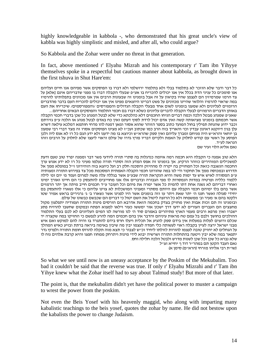highly knowledgeable in kabbola -, who demonstrated that his great uncle's view of kabbla was highly simplistic and misled, and after all, who could argue?

So Kabbola and the Zohar were under no threat in that generation.

In fact, above mentioned r' Elyahu Mizrah and his contemporary r' Tam ibn Yihyye themselves spoke in a respectful but cautious manner about kabbola, as brought down in the first tshuva in Shut Hare'em:

כל דבר ודבר שלא הוזכר לא בתלמוד בבלי ולא בתלמוד ירושלמי ולא דברו בו הפוסקים אשר מפיהם אנו חיים ועליהם אנו סומכים כל עניני הדת בכלל אין אנו יכולים להכריח בו אע"פ שבעלי הקבלה דברו בו מפני שדבריהם אינם [אלא] על צד הרמז שמרמיזין הם לעצמן שהיו בקיאין על זה אבל בזמנינו זה שבעונות הרבים אין אנו מכוונים בתפלותינו להרמיז במה שראוי להרמיז והלואי שהיינו מכוונים על פשט דברינו היוצאים מפינו אין אנו יכולים להכריח העם בדבר מהדברים הרומזים לעליונים ולא שמענו בזמנינו לשום אחד מבעלי הקבלה הגדולים והמפורסים /והמפורסמים/ שיכריחו את העם<br>באותו הדברים הרמוזים לבעלי הקבלה לדברים עליונים כשלא דברו בם חכמי התלמוד והפוסקים הבאים אחריהם...

שאע"פ שמנהג מבטל הלכה וכמה דברים הניחו החכמים דלא כהלכתא כדי שלא לבטל המנהג כל שכן בדברי חכמי הקבלה אשר חכמתם בזמנינו מציאותה קשה ואין אדם יכול לרדת לסוף דעתם ואין כח באדם לבטל מנהג או הלכה ע "פ גזירתם וכבר ידוע שהנחת תפילין בחול המועד כתוב בספר הזוהר שהוא אסור ומאן דמנח להו מדחי חותמא דמלכא עילאה דשרא עלן בגין דיוקנא דאינון עבדין וכו' והאריך בזה הרב כמו שכתוב ועכ"ז לא מצינו הפוסקים אסרו זה מצד דברי רבי שמעון בן יוחאי והרא״ש היה מניחם ומברך עליהם ואין ספק שהרא״ש וכיוצא בו מה ידענו ולא ידע הגם כל רז לא אנס ליה ולכן הפוסע על ראשי עם קודש לחלוק על האמת ולקיים דבריו פורץ גדרו של עולם וראוי ליעצו שלא לחלוק על הרבים וזהו הנראה לע"ד.

נאם אליא הלוי זעיר שם

הלא טוב אמנה כי הקבלה היא חכמה רמה איומה כנדגלות בה סתרי תורה ליודעי פשר דבר וממנה יפרד טוב טעם ודעת למשכילים המזהירים כזוהר הרקיע. אך בזמנינו זה אפס המדע הזה וסתרי תורה נעלמו מעיני כל רז לא ידע אנוש ערך החכמה הנשגבה כזאת וכל המחזיק בה יקרה לו מההיזק והסכנה חלק רב ועל כיוצא בזה הזהירונו ז"ל במופלא ממך אל תדרוש ובמכוסה ממך אל תחקור ודי לנו במה שהורונו חכמי הקבלה האמתית המסכמת מכל צד בפירוש התורה ומצותיה ע"פ המסורה לאיש איש עד ימות משה והיא הנקראת תורה שבע"פ אשר בגללה עלה משה למרום ועמד מ' יום ומ' לילה ללמוד כלליה ופרטיה במדות הנמסרות לו מפי הגבורה ובדברים אלו אנו מחוייבים להתעסק כי הם חיינו ואורך ימינו ואחרי דבריהם לא נשנה אחת דתו להמית כל אשר ימרה את פיהם וכל העובר ע"ד חכמים חייב מיתה אך יתר הרמזים אשר בהם בלו ימיהם חכמי הקבלה עם היותם מסתרי ומעניני המושכלות לא צוינו עליהם כי אלו נשארו להתעסק בם יחידי סגולה ואשר חננו ה׳ יתר שאת ויתר עז וזה בזמנים אשר היו לפנינו אשר נשארו ב׳ ג׳ גרגירים בראש אמיר שטו<br>ולקטו בהם א׳ מעיר וב׳ ממשפחה ולא כל הרוצה ליטול את השם יטול כי דברים הם שכבשם כבשונו של עולם. ובזמנינו זה תם זכות אבות ואין מחזיק בצדק בחכמה הזאת אדרבא הם הורסים פינות התורה ועמודיה יתפלצון מקול

מחצצים הם העברים העורים לא ידעו דרך ישכון אור ימששו כעור וילאו למצוא הפתח ובמקום שחשבו להרויח פתע ישברו ואין מרפא ורבים מעמי הארץ מתיהרים באמרם סוד ה' לנו מורשה לנו המים העליונים לא לכם בעלי התלמוד ההולכים בחושך ולבם בל עמם טח מראות עיניהם והדבר אין בהם חכמים המה להרע לנפשם כי החזיקו במה שקצרה יד שכלם ורוצים לעלות במעלות אין בידם ספק להגיע אל תכלית ויעלו חרס בידם להתגרד בו והיה להם למוקש ואם איש מבני ישראל ירצה לעיין בקבלה ראוי לעשותה כלי חמדה לעצמו יבין מה שיבין באימה ביראה ברתת ובזיע כאיש המהלך על הגחלים לא יחזיק טובה לעצמו להורות לזולתו ליחיד וכ"ש לצבור כי תצא מזה תקלה להרוס חומת התורה ולפרוץ גדר יתפאר במה שלא יבין ויטעה בהתחלות התורה ושרשיה יבוא לידי מינות ויתרחק ממחוז חפצו והיא קרבת אלהים נוח לו<br>שלא נברא כל שכו וכל שכו לשנות מדרש ולבטל הלכה חלילה וחס.

נאם העבד הקטן תם במהרייר דוד ןי יחייא זצייל<br>(שויית רבי אליהו מזרחי (הראיים) סימן א)

So what we see until now is an uneasy acceptance by the Poskim of the Mekubalim. Too bad it couldn't be said that the reverse was true. If only r' Elyahu Mizrahi and r' Tam ibn Yihye knew what the Zohar itself had to say about Talmud study! But more of that later.

The point is, that the mekubalim didn't yet have the political power to muster a campaign to wrest the power from the poskim.

Not even the Beis Yosef with his heavenly maggid, who along with imparting many kabalistic teachings to the beis yosef, quotes the zohar by name. He did not bestow upon the kabalists the power to change Judaism.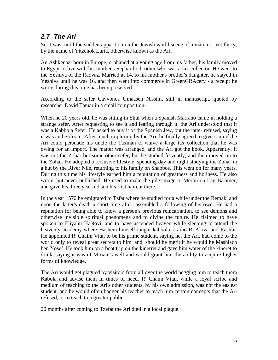#### <span id="page-14-0"></span>*2.7 The Ari*

So it was, until the sudden apparition on the Jewish world scene of a man, not yet thirty, by the name of Yitzchok Luria, otherwise known as the Ari.

An Ashkenazi born in Europe, orphaned at a young age from his father, his family moved to Egypt to live with his mother's Sephardic brother who was a tax collector. He went to the Yeshiva of the Radvaz. Married at 14, to his mother's brother's daughter, he stayed in Yeshiva until he was 16, and then went into commerce in GreenGRAcery - a receipt he wrote during this time has been preserved.

According to the sefer Cavvonos Umaaseh Nissim, still in manuscript, quoted by researcher David Tamar in a small composition-

When he 20 years old, he was sitting in Shul when a Spanish Marrano came in holding a strange sefer. After requesting to see it and leafing through it, the Ari understood that it was a Kabbola Sefer. He asked to buy it of the Spanish Jew, but the latter refused, saying it was an heirloom. After much imploring by the Ari, he finally agreed to give it up if the Ari could persuade his uncle the Taxman to waive a large tax collection that he was owing for an import. The matter was arranged, and the Ari got the book. Apparently, It was not the Zohar but some other sefer, but he studied fervently, and then moved on to the Zohar. He adopted a reclusive lifestyle, spending day and night studying the Zohar in a hut by the River Nile, returning to his family on Shabbos. This went on for many years. During this time his lifestyle earned him a reputation of greatness and holiness. He also wrote, but never published. He used to make the pilgrimage to Meron on Lag Ba'omer, and gave his three year old son his first haircut there.

In the year 1570 he emigrated to Tzfat where he studied for a while under the Remak, and upon the latter's death a short time after, assembled a following of his own. He had a reputation for being able to know a person's previous reincarnation, to see demons and otherwise invisible spiritual phenomena and to divine the future. He claimed to have spoken to Eliyahu HaNovi, and to have ascended heaven while sleeping to attend the heavenly academy where Hashem himself taught kabbola, as did R' Akiva and Rashbi. He appointed R' Chaim Vital to be his prime student, saying he, the Ari, had come to the world only to reveal great secrets to him, and, should he merit it he would be Mashiach ben Yosef. He took him on a boat trip on the kinerret and gave him water of the kineret to drink, saying it was of Miriam's well and would grant him the ability to acquire higher forms of knowledge.

The Ari would get plagued by visitors from all over the world begging him to teach them Kabola and advise them in times of need. R' Chaim Vital, while a loyal scribe and medium of teaching to the Ari's other students, by his own admission, was not the easiest student, and he would often badger his teacher to teach him certain concepts that the Ari refused, or to teach to a greater public.

20 months after coming to Tzefat the Ari died in a local plague.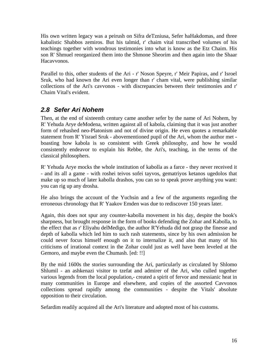<span id="page-15-0"></span>His own written legacy was a peirush on Sifra deTzniusa, Sefer haHakdomas, and three kabalistic Shabbos zemiros. But his talmid, r' chaim vital transcribed volumes of his teachings together with wondrous testimonies into what is know as the Etz Chaim. His son R' Shmuel reorganized them into the Shmone Sheorim and then again into the Shaar Hacavvonos.

Parallel to this, other students of the Ari - r' Noson Speyre, r' Meir Papiras, and r' Isroel Sruk, who had known the Ari even longer than r' cham vital, were publishing similar collections of the Ari's cavvonos - with discrepancies between their testimonies and r' Chaim Vital's evident.

## *2.8 Sefer Ari Nohem*

Then, at the end of sixteenth century came another sefer by the name of Ari Nohem, by R' Yehuda Arye deModena, written against all of kabola, claiming that it was just another form of rehashed neo-Platonism and not of divine origin. He even quotes a remarkable statement from R' Yisrael Sruk - abovementioned pupil of the Ari, whom the author met boasting how kabola is so consistent with Greek philosophy, and how he would consistently endeavor to explain his Rebbe, the Ari's, teaching, in the terms of the classical philosophers.

R' Yehuda Arye mocks the whole institution of kabolla as a farce - they never received it - and its all a game - with roshei teivos sofei tayvos, gematriyos ketanos ugedolos that make up so much of later kabolla drashos, you can so to speak prove anything you want: you can rig up any drosha.

He also brings the account of the Yuchsin and a few of the arguments regarding the erroneous chronology that R' Yaakov Emden was due to rediscover 150 years later.

Again, this does not spur any counter-kabolla movement in his day, despite the book's sharpness, but brought response in the form of books defending the Zohar and Kabolla, to the effect that as r' Eliyahu delMedigo, the author R'Yehuda did not grasp the finesse and depth of kabolla which led him to such rash statements, since by his own admission he could never focus himself enough on it to internalize it, and also that many of his criticisms of irrational context in the Zohar could just as well have been leveled at the Gemoro, and maybe even the Chumash. [ed: !!]

By the mid 1600s the stories surrounding the Ari, particularly as circulated by Shlomo Shlumil - an ashkenazi visitor to tzefat and admirer of the Ari, who culled together various legends from the local population,- created a spirit of fervor and messianic heat in many communities in Europe and elsewhere, and copies of the assorted Cavvonos collections spread rapidly among the communities - despite the Vitals' absolute opposition to their circulation.

Sefardim readily acquired all the Ari's literature and adopted most of his customs.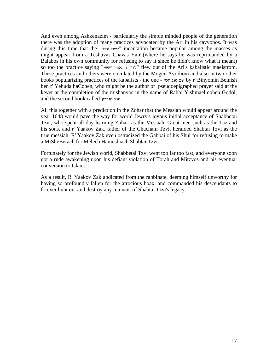And even among Ashkenazim - particularly the simple minded people of the generation there was the adoption of many practices advocated by the Ari in his cavvonos. It was during this time that the "יחוד לשם "incantation became popular among the masses as might appear from a Teshuvas Chavas Yair (where he says he was reprimanded by a Balabos in his own community for refusing to say it since he didn't know what it meant) so too the practice saying "וישעי אורי' ה לדוד "flew out of the Ari's kabalistic maelstrom. These practices and others were circulated by the Mogen Avrohom and also in two other books popularizing practices of the kabalists - the one - קטן טוב שם by r' Binyomin Beinish ben r' Yehuda haCohen, who might be the author of pseudoepigraphed prayer said at the kever at the completion of the mishanyos in the name of Rabbi Yishmael cohen Godol, and the second book called הזכרון ספר.

All this together with a prediction in the Zohar that the Messiah would appear around the year 1648 would pave the way for world Jewry's joyous initial acceptance of Shabbetai Tzvi, who spent all day learning Zohar, as the Messiah. Great men such as the Taz and his sons, and r' Yaakov Zak, father of the Chacham Tzvi, heralded Shabtai Tzvi as the true messiah. R' Yaakov Zak even ostracized the Gabbai of his Shul for refusing to make a MiSheBerach for Melech Hamoshiach Shabtai Tzvi.

Fortunately for the Jewish world, Shabbetai Tzvi went too far too fast, and everyone soon got a rude awakening upon his defiant violation of Torah and Mitzvos and his eventual conversion to Islam.

As a result, R' Yaakov Zak abdicated from the rabbinate, deeming himself unworthy for having so profoundly fallen for the atrocious hoax, and commanded his descendants to forever hunt out and destroy any remnant of Shabtai Tzvi's legacy.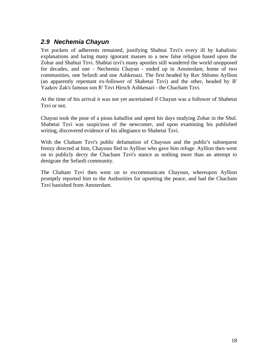#### <span id="page-17-0"></span>*2.9 Nechemia Chayun*

Yet pockets of adherents remained, justifying Shabtai Tzvi's every ill by kabalistic explanations and luring many ignorant masses to a new false religion based upon the Zohar and Shabtai Tzvi. Shabtai tzvi's many apostles still wandered the world unopposed for decades, and one - Nechemia Chayun - ended up in Amsterdam, home of two communities, one Sefardi and one Ashkenazi. The first headed by Rav Shlomo Ayllion (an apparently repentant ex-follower of Shabetai Tzvi) and the other, headed by R' Yaakov Zak's famous son R' Tzvi Hirsch Ashkenazi - the Chacham Tzvi.

At the time of his arrival it was not yet ascertained if Chayun was a follower of Shabetai Tzvi or not.

Chayun took the pose of a pious kaballist and spent his days studying Zohar in the Shul. Shabetai Tzvi was suspicious of the newcomer, and upon examining his published writing, discovered evidence of his allegiance to Shabetai Tzvi.

With the Chaham Tzvi's public defamation of Chayoun and the public's subsequent frenzy directed at him, Chayoun fled to Ayllion who gave him refuge. Ayllion then went on to publicly decry the Chacham Tzvi's stance as nothing more than an attempt to denigrate the Sefardi community.

The Chaham Tzvi then went on to excommunicate Chayoun, whereupon Ayllion promptly reported him to the Authorities for upsetting the peace, and had the Chacham Tzvi banished from Amsterdam.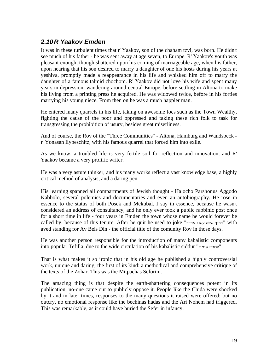## <span id="page-18-0"></span>*2.10 R Yaakov Emden*

It was in these turbulent times that r' Yaakov, son of the chaham tzvi, was born. He didn't see much of his father - he was sent away at age seven, to Europe. R' Yaakov's youth was pleasant enough, though shattered upon his coming of marriageable age, when his father, upon hearing that his son desired to marry a daughter of one his hosts during his years at yeshiva, promptly made a reappearance in his life and whisked him off to marry the daughter of a famous talmid chochom. R' Yaakov did not love his wife and spent many years in depression, wandering around central Europe, before settling in Altona to make his living from a printing press he acquired. He was widowed twice, before in his forties marrying his young niece. From then on he was a much happier man.

He entered many quarrels in his life, taking on awesome foes such as the Town Wealthy, fighting the cause of the poor and oppressed and taking these rich folk to task for transgressing the prohibition of usury, besides great miserliness.

And of course, the Rov of the "Three Communities" - Altona, Hamburg and Wandsbeck r' Yonasan Eybeschitz, with his famous quarrel that forced him into exile.

As we know, a troubled life is very fertile soil for reflection and innovation, and R' Yaakov became a very prolific writer.

He was a very astute thinker, and his many works reflect a vast knowledge base, a highly critical method of analysis, and a daring pen.

His learning spanned all compartments of Jewish thought - Halocho Parshonus Aggodo Kabbolo, several polemics and documentaries and even an autobiography. He rose in essence to the status of both Posek and Mekubal. I say in essence, because he wasn't considered an address of consultancy, and he only ever took a public rabbinic post once for a short time in life - four years in Emden the town whose name he would forever be called by, because of this tenure. After he quit he used to joke "ברוך שלא עשני אב"ד" with aved standing for Av Beis Din - the official title of the comunity Rov in those days.

He was another person responsible for the introduction of many kabalistic components into popular Tefilla, due to the wide circulation of his kabalistic siddur "שמים עמודי".

That is what makes it so ironic that in his old age he published a highly controversial work, unique and daring, the first of its kind: a methodical and comprehensive critique of the texts of the Zohar. This was the Mitpachas Seforim.

The amazing thing is that despite the earth-shattering consequences potent in its publication, no-one came out to publicly oppose it. People like the Chida were shocked by it and in later times, responses to the many questions it raised were offered; but no outcry, no emotional response like the bechinas hadas and the Ari Nohem had triggered. This was remarkable, as it could have buried the Sefer in infancy.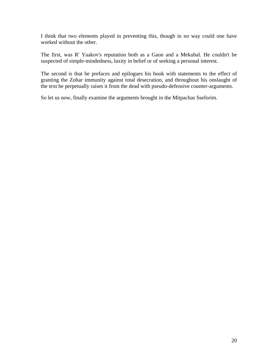I think that two elements played in preventing this, though in no way could one have worked without the other.

The first, was R' Yaakov's reputation both as a Gaon and a Mekubal. He couldn't be suspected of simple-mindedness, laxity in belief or of seeking a personal interest.

The second is that he prefaces and epilogues his book with statements to the effect of granting the Zohar immunity against total desecration, and throughout his onslaught of the text he perpetually raises it from the dead with pseudo-defensive counter-arguments.

So let us now, finally examine the arguments brought in the Mitpachas Sseforim.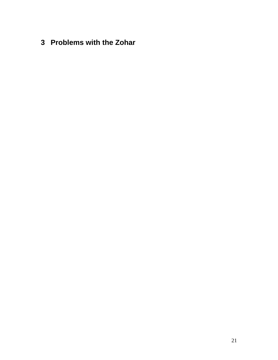<span id="page-20-0"></span>**3 Problems with the Zohar**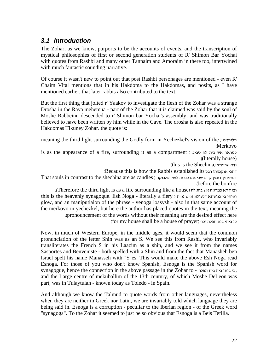#### <span id="page-21-0"></span>*3.1 Introduction*

The Zohar, as we know, purports to be the accounts of events, and the transcription of mystical philosophies of first or second generation students of R' Shimon Bar Yochai with quotes from Rashbi and many other Tannaim and Amoraim in there too, intertwined with much fantastic sounding narrative.

Of course it wasn't new to point out that post Rashbi personages are mentioned - even R' Chaim Vital mentions that in his Hakdoma to the Hakdomas, and posits, as I have mentioned earlier, that later rabbis also contributed to the text.

But the first thing that jolted r' Yaakov to investigate the flesh of the Zohar was a strange Drosha in the Raya mehemna - part of the Zohar that it is claimed was said by the soul of Moshe Rabbeinu descended to r' Shimon bar Yochai's assembly, and was traditionally believed to have been written by him while in the Cave. The drosha is also repeated in the Hakdomas Tikuney Zohar. the quote is:

meaning the third light surrounding the Godly form in Yechezkel's vision of the ) תליתאה (Merkovo

is as the appearance of a fire, surrounding it as a compartment ) סביב לה בית אש כמראה ((literally house)

.(this is the Shechina) שכינתא ודא

(Because this is how the Rabbis established it) רבנן אוקמוהו דהכי

That souls in contrast to the shechina are as candles ) האבוקה לפני כנרות שכינתא קדם דומין דנשמתין .(before the bonfire

.(Therefore the third light is as a fire surrounding like a house). this is the heavenly synagogue. Esh Noga - literally a fiery ואיהי בי כנישתא דלעילא אייש נג״ה ו glow, and an maniputlaion of the phrase - venoga loasysh - also in that same account of the merkovo in yechezkel, but here the author has placed quotes in the text, meaning the .(pronouncement of the words without their meaning are the desired effect here

(for my house shall be a house of prayer) 'וכו תפלה בית ביתי כי

Now, in much of Western Europe, in the middle ages, it would seem that the common pronunciation of the letter Shin was as an S. We see this from Rashi, who invariably transliterates the French S in his Laazim as a shin, and we see it from the names Sasportes and Benveniste - both spelled with a Shin and from the fact that Manasheh ben Israel spelt his name Manasseh with "S"es. This would make the above Esh Noga read Esnoga. For those of you who don't know Spanish, Esnoga is the Spanish word for synagogue, hence the connection in the above passage in the Zohar to - תפלה בית בית ביתי כי, and the Large centre of mekuballim of the 13th century, of which Moshe DeLeon was part, was in Tulaytulah - known today as Toledo - in Spain.

And although we know the Talmud to quote words from other languages, nevertheless when they are neither in Greek nor Latin, we are invariably told which language they are being said in. Esnoga is a corruption - peculiar to the Iberian region - of the Greek word "synagoga". To the Zohar it seemed to just be so obvious that Esnoga is a Beis Tefilla.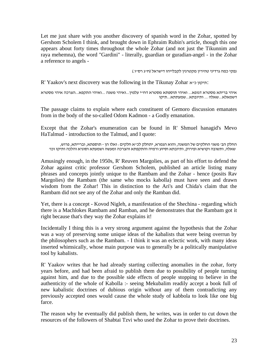Let me just share with you another discovery of spanish word in the Zohar, spotted by Gershom Scholem I think, and brought down in Ephraim Rubin's article, though this one appears about forty times throughout the whole Zohar (and not just the Tikunnim and raya mehemna), the word "Gardini" - literally, guardian or guradian-angel - in the Zohar a reference to angels -

נפקי כמה גרדיני טהירין מקטרגין לקבלייהו דישראל (ח"ג רס"ו.)

R' Yaakov's next discovery was the following in the Tikunay Zohar  $\cdot$ תיקון כייא:

איהי בריתא מסטרא דגופא... ואיהי תוספתא מסטרא דח״י עלמין...ואיהי משנה ...ואיהי התקפא...הצרכה איהי מסטרא<br>דשמאלא...שאלה ... ותיובתא...שמעתתא...תיקו

The passage claims to explain where each constituent of Gemoro discussion emanates from in the body of the so-called Odom Kadmon - a Godly emanation.

Except that the Zohar's enumeration can be found in R' Shmuel hanagid's Mevo HaTalmud - introduction to the Talmud, and I quote:

החלק הב' משני החלקים של המשנה, והוא הגמרא, יתחלק לכ"א חלקים: ואלו הן - תוספתא, וברייתא, פרוש, שאלה, ותשובה וקושיא ופירוק, ותיובתא וסיוע ורמיה והתקפתא והצרכה ומעשה ושמעתא וסוגיא והלכה ותיקו וכו'

Amusingly enough, in the 1950s, R' Reuven Margolies, as part of his effort to defend the Zohar against critic professor Gershom Scholem, published an article listing many phrases and concepts jointly unique to the Rambam and the Zohar - hence (posits Rav Margolies) the Rambam (the same who mocks kabolla) must have seen and drawn wisdom from the Zohar! This in distinction to the Ari's and Chida's claim that the Rambam did not see any of the Zohar and only the Ramban did.

Yet, there is a concept - Kovod Nigleh, a manifestation of the Shechina - regarding which there is a Machlokes Rambam and Ramban, and he demonstrates that the Rambam got it right because that's they way the Zohar explains it!

Incidentally I thing this is a very strong argument against the hypothesis that the Zohar was a way of preserving some unique ideas of the kabalists that were being overrun by the philosophers such as the Rambam. - I think it was an eclectic work, with many ideas inserted whimsically, whose main purpose was to generally be a politically manipulative tool by kabalists.

R' Yaakov writes that he had already starting collecting anomalies in the zohar, forty years before, and had been afraid to publish them due to possibility of people turning against him, and due to the possible side effects of people stopping to believe in the authenticity of the whole of Kabolla :- seeing Mekubalim readily accept a book full of new kabalistic doctrines of dubious origin without any of them contradicting any previously accepted ones would cause the whole study of kabbola to look like one big farce.

The reason why he eventually did publish them, he writes, was in order to cut down the resources of the followers of Shabtai Tzvi who used the Zohar to prove their doctrines.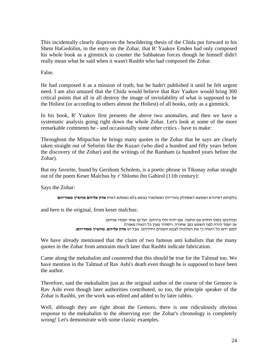This incidentally clearly disproves the bewildering thesis of the Chida put forward in his Shem HaGedolim, in the entry on the Zohar, that R' Yaakov Emden had only composed his whole book as a gimmick to counter the Sabbatean forces though he himself didn't really mean what he said when it wasn't Rashbi who had composed the Zohar.

False.

He had composed it as a mission of truth, but he hadn't published it until he felt urgent need. I am also amazed that the Chida would believe that Rav Yaakov would bring 300 critical points that all in all destroy the image of inviolability of what is supposed to be the Holiest (or according to others almost the Holiest) of all books, only as a gimmick.

In his book, R' Yaakov first presents the above two anomalies, and then we have a systematic analysis going right down the whole Zohar. Let's look at some of the more remarkable comments he - and occasionally some other critics - have to make:

Throughout the Mitpachas he brings many quotes in the Zohar that he says are clearly taken straight out of Seforim like the Kuzari (who died a hundred and fifty years before the discovery of the Zohar) and the writings of the Rambam (a hundred years before the Zohar).

But my favorite, found by Gershom Scholem, is a poetic phrase in Tikunay zohar straight out of the poem Keser Malchus by r' Shlomo ibn Gabirol (11th century):

Says the Zohar:

בלקותא דסיהרא ושמשא דאסתלק נהורייהו ואשתארו כגופא בלא נשמתא דאית **אדון עליהם מחשיך מאוריהם**

and here is the original, from keser malchus:

ובהדבקו בסוף החדש עם החמה. אם יהיה תלי ביניהם. ועל קו אחד יעמדו שניהם.<br>אז יעמד הירח לפני השמש כעב שחורה. ויסתיר מעין כל רואיה מאורה.<br>למעו ידעו כל רואיה כי אין המלכות לצבא השמים וחיליהם. אבל יש **אדון עליהם. מחשיד מאוריהם.** 

We have already mentioned that the claim of two famous anti kabalists that the many quotes in the Zohar from amoraim much later that Rashbi indicate fabrication.

Came along the mekubalim and countered that this should be true for the Talmud too. We have mention in the Talmud of Rav Ashi's death even though he is supposed to have been the author.

Therefore, said the mekubalim just as the original author of the course of the Gemoro is Rav Ashi even though later authorities contributed, so too, the principle speaker of the Zohar is Rashbi, yet the work was edited and added to by later rabbis.

Well, although they are right about the Gemoro, there is one ridiculously obvious response to the mekubalim to the observing eye: the Zohar's chronology is completely wrong! Let's demonstrate with some classic examples.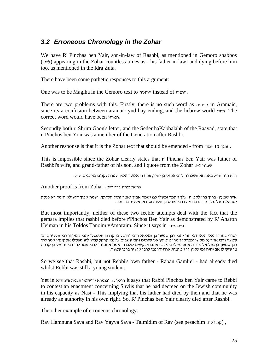## <span id="page-24-0"></span>*3.2 Erroneous Chronology in the Zohar*

We have R' Pinchas ben Yair, son-in-law of Rashbi, as mentioned in Gemoro shabbos  $(\cdot, \cdot)$ ) appearing in the Zohar countless times as - his father in law! and dying before him too, as mentioned in the Idra Zuta.

There have been some pathetic responses to this argument:

One was to be Magiha in the Gemoro text to חותניה instead of חתניה.

There are two problems with this. Firstly, there is no such word as חותניה in Aramaic, since its a confusion between aramaic yud hay ending, and the hebrew world חותן. The correct word would have been חמוהי.

Secondly both r' Shrira Gaon's letter, and the Seder haKabbalahh of the Raavad, state that r' Pinchos ben Yoir was a member of the Generation after Rashbi.

Another response is that it is the Zohar text that should be emended - from חמוך to חתנך.

This is impossible since the Zohar clearly states that r' Pinchas ben Yair was father of Rashbi's wife, and grand-father of his son, and I quote from the Zohar שמיני ל"ו.

<sup>ר</sup>"<sup>א</sup> הוה אזיל באורחא אשכחיה לרבי פנחס בן יאיר, פתח <sup>ר</sup>' אלעזר ואמר עטרת זקנים בני בנים. ע"כ.

פרשת פנחס בדף ר"מ: Zohar from is proof Another

<sup>א</sup>"<sup>ר</sup> שמעון- בריך ברי לקב"ה! עלך אתמר (משלי כג) ישמח אביך ואמך ותגל יולדתך. ישמח אביך דלעילא ואמך דא כנסת ישראל. ותגל יולדתך דא ברתיה דרבי פנחס בן יאיר חסידא. אלעזר ברי וכו .'

But most importantly, neither of these two feeble attempts deal with the fact that the gemara implies that rashbi died before r'Pinchos Ben Yair as demonstrated by R' Aharon Heiman in his Toldos Tanoim vAmoraim. Since it says in :ד"פ מ"ב:

יסורי בתורה מאי היא? דכי הוו יתבי רבן שמעון בן גמליאל ורבי יהושע בן קרחה אספסלי יתבי קמייהו רבי אלעזר ברבי שמעון ורבי אארעא מקשו ומפרקו אמרי מימיהן אנו שותים והם יושבים על גבי קרקע עבדו להו ספסלי אסקינהו אמר להן רבן שמעון בן גמליאל פרידה אחת יש לי ביניכם ואתם מבקשים לאבדה הימני אחתוהו לרבי אמר להן רבי יהושע בן קרחה<br>מי שיש לו אב יחיה ומי שאין לו אב ימות אחתוהו נמי לרבי אלעזר ברבי שמעון.

So we see that Rashbi, but not Rebbi's own father - Raban Gamliel - had already died whilst Rebbi was still a young student.

Yet in א"ה ג"פ תענית ירושלמי ובגמרא ,:ז חולין it says that Rabbi Pinchos ben Yair came to Rebbi to contest an enactment concerning Shviis that he had decreed on the Jewish community in his capacity as Nasi - This implying that his father had died by then and that he was already an authority in his own right. So, R' Pinchas ben Yair clearly died after Rashbi.

The other example of erroneous chronology:

Rav Hamnuna Sava and Rav Yayva Sava - Talmidim of Rav (see pesachim . קג ו־קה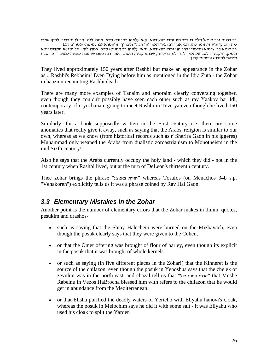<span id="page-25-0"></span>רב ברונא ורב חננאל תלמידי דרב הוו יתבי בסעודתא, קאי עלייהו רב ייבא סבא. אמרו ליה : הב לן וניבריך. לסוף אמרו<br>ליה : הב לן ונישתי. אמר להו, הכי אמר רב : כיון דאמריתו הב לן וניבריך <sup>-</sup> איתסרא לכו למישתי (פסחים קג.) רב חנניא בר שלמיא ותלמידי דרב הוו יתבי בסעודתא, וקאי עלייהו רב המנונא סבא. אמרו ליה: זיל חזי אי מקדיש יומא נפסיק, וניקבעיה לשבתא. אמר להו <sub>:</sub> לא צריכיתו, שבתא קבעה נפשה. דאמר רב : כשם שהשבת קובעת למעשר <sup>-</sup> כך שבת<br>קובעת לקידוש (פסחים קה.)

They lived approximately 150 years after Rashbi but make an appearance in the Zohar as... Rashbi's Rebbeim! Even Dying before him as mentioned in the Idra Zuta - the Zohar in haazinu recounting Rashbi death.

There are many more examples of Tanaim and amoraim clearly conversing together, even though they couldn't possibly have seen each other such as rav Yaakov bar Idi, contemporary of r' yochanan, going to meet Rashbi in Teverya even though he lived 150 years later.

Similarly, for a book supposedly written in the First century c.e. there are some anomalies that really give it away, such as saying that the Arabs' religion is similar to our own, whereas as we know (from historical records such as r' Sherira Gaon in his iggeres) Muhammad only weaned the Arabs from dualistic zoroastrianism to Monotheism in the mid Sixth century!

Also he says that the Arabs currently occupy the holy land - which they did - not in the 1st century when Rashbi lived, but at the turn of DeLeon's thirteenth century.

Thee zohar brings the phrase "באמצע הויות "whereas Tosafos (on Menachos 34b s.p. "Vehakoreh") explicitly tells us it was a phrase coined by Rav Hai Gaon.

#### *3.3 Elementary Mistakes in the Zohar*

Another point is the number of elementary errors that the Zohar makes in dinim, quotes, pesukim and drashos-

- such as saying that the Shtay Halechem were burned on the Mizbayach, even though the posuk clearly says that they were given to the Cohen,
- or that the Omer offering was brought of flour of barley, even though its explicit in the posuk that it was brought of whole kernels.
- or such as saying (in five different places in the Zohar!) that the Kinneret is the source of the chilazon, even though the posuk in Yehoshua says that the chelek of zevulun was in the north east, and chazal tell us that "חול טמוני שפוני "that Moshe Rabeinu in Vezos HaBrocha blessed him with refers to the chilazon that he would get in abundance from the Mediterranean.
- or that Elisha purified the deadly waters of Yericho with Eliyahu hanovi's cloak, whereas the posuk in Melochim says he did it with some salt - it was Eliyahu who used his cloak to split the Yarden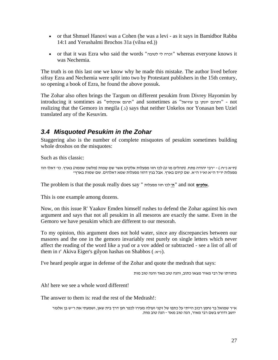- <span id="page-26-0"></span>• or that Shmuel Hanovi was a Cohen (he was a levi - as it says in Bamidbor Rabba 14:1 and Yerushalmi Brochos 31a (vilna ed.))
- or that it was Ezra who said the words "לטובה לי זכרה "whereas everyone knows it was Nechemia.

The truth is on this last one we know why he made this mistake. The author lived before sifray Ezra and Nechemia were split into two by Protestant publishers in the 15th century, so opening a book of Ezra, he found the above possuk.

The Zohar also often brings the Targum on different pesukim from Divrey Hayomim by introducing it somtimes as "אונקלוס תרגם "and sometimes as "עוזיאל בן יונתן ותרגם "- not realizing that the Gemoro in megila (.) says that neither Unkelos nor Yonasan ben Uziel translated any of the Kesuvim.

## *3.4 Misquoted Pesukim in the Zohar*

Staggering also is the number of complete misquotes of pesukim sometimes building whole droshos on the misquotes:

Such as this classic:

```
(ח״א נ״ח ּ) - ״רבי יהודה פתח. (תהלים מו ט) לכו חזו מפעלות אלקים אשר שם שֵמות (מלשון שממה) בארץ. כו׳ דאלו הוו<br>מפעלות יו״ד ה״א וא״ו ה״א. שם קיום בארץ. אבל בגין דהוו מפעלות שמא דאלהים. שם שמות בארץ״
```
The problem is that the posuk really does say " מפעלות חזו לכו**' ה** "and not **אלקים**.

This is one example among dozens.

Now, on this issue R' Yaakov Emden himself rushes to defend the Zohar against his own argument and says that not all pesukim in all mesoros are exactly the same. Even in the Gemoro we have pesukim which are different to our mesorah.

To my opinion, this argument does not hold water, since any discrepancies between our masores and the one in the gemoro invariably rest purely on single letters which never affect the reading of the word like a yud or a vov added or subtracted - see a list of all of them in r' Akiva Eiger's gilyon hashas on Shabbos ( $\cdot$ יא).

I've heard people argue in defense of the Zohar and quote the medrash that says:

בתורתו של רבי מאיר מצאו כתוב, והנה טוב מאד והנה טוב מות

Ah! here we see a whole word different!

The answer to them is: read the rest of the Medrash!:

א"ר שמואל בר נחמן רכוב הייתי על כתפו של זקני ועולה מעירו לכפר חנן דרך בית שאן, ושמעתי את ר"ש בן אלעזר יושב ודורש בשם רבי מאיר, הנה טוב מאד - הנה טוב מות.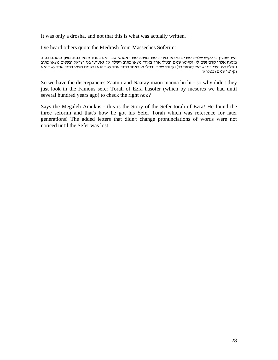It was only a drosha, and not that this is what was actually written.

I've heard others quote the Medrash from Masseches Soferim:

א"ר שמעון בן לקיש שלשה ספרים נמצאו בעזרה ספר מעונה ספר זאטוטי ספר היא באחד מצאו כתוב מעון ובשנים כתוב מעונה אלהי קדם (שם לג) וקיימו שנים ובטלו אחד באחד מצאו כתוב וישלח אל זאטוטי בני ישראל ובשנים מצאו כתוב וישלח את נערי בני ישראל (שמות כד) וקיימו שנים ובטלו א׳ באחד כתוב אחד עשר הוא ובשנים מצאו כתוב אחד עשר היא<br>וקיימו שנים ובטלו א׳

So we have the discrepancies Zaatuti and Naaray maon maona hu hi - so why didn't they just look in the Famous sefer Torah of Ezra hasofer (which by mesores we had until several hundred years ago) to check the right נוסח ?

Says the Megaleh Amukus - this is the Story of the Sefer torah of Ezra! He found the three seforim and that's how he got his Sefer Torah which was reference for later generations! The added letters that didn't change pronunciations of words were not noticed until the Sefer was lost!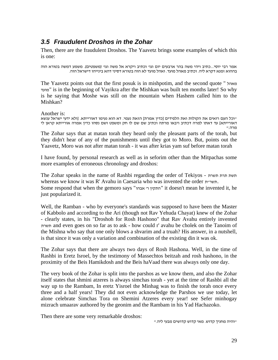## <span id="page-28-0"></span>*3.5 Fraudulent Droshos in the Zohar*

Then, there are the fraudulent Droshos. The Yaavetz brings some examples of which this is one:

אמר רבי יוסי...כתיב ויהי משה בהר ארבעים יום וגו' וכתיב ויקרא אל משה וגו' (משפטים). משמע דמשה בטורא הוה בההוא זמנא דקרא ליה. וכתיב מאהל מועד. ואהל מועד לא הוה בטורא דסיני דהא בינייהו דישראל הוה.

The Yaavetz points out that the first posuk is in mishpotim, and the second quote " מאהל מועד "is in the beginning of Vayikra after the Mishkan was built ten months later! So why is he saying that Moshe was still on the mountain when Hashem called him to the Mishkan?

Another is:<br>יוכל העם רואים את הקולות ואת הלפידים [כדין אמרת] הזאת נעמי. דא הוא נעימו דאורייתא. [ולא ידעי ישראל ענשא דאורייתא] עד דאתו למרה דכתיב ויבאו מרתה וכתיב שם שם לו חק ומשפט ושם נסהו כדין אמרה אורייתא קראן לי מרה."

The Zohar says that at matan torah they heard only the pleasant parts of the torah, but they didn't hear of any of the punishments until they got to Moro. But, points out the Yaavetz, Moro was not after matan torah - it was after krias yam suf before matan torah

I have found, by personal research as well as in seforim other than the Mitpachas some more examples of erroneous chronology and droshos:

The Zohar speaks in the name of Rashbi regarding the order of Tekiyos - תשרת תרת תשת whereas we know it was R' Avahu in Caesaria who was invented the order  $m_{\text{max}}$ . Some respond that when the gemoro says "אבהו' ר התקין "it doesn't mean he invented it, he just popularized it.

Well, the Ramban - who by everyone's standards was supposed to have been the Master of Kabbolo and according to the Ari (though not Rav Yehuda Chayat) knew of the Zohar - clearly states, in his "Droshoh for Rosh Hashono" that Rav Avahu entirely invented תשרת and even goes on so far as to ask - how could r' avahu be cholek on the Tanoim of the Mishna who say that one only blows a shvarim and a truah? His answer, in a nutshell, is that since it was only a variation and combination of the existing din it was ok.

The Zohar says that there are always two days of Rosh Hashona. Well, in the time of Rashbi in Eretz Isroel, by the testimony of Massechtos beitzah and rosh hashono, in the proximity of the Beis Hamikdosh and the Beis haVaad there was always only one day.

The very book of the Zohar is split into the parshos as we know them, and also the Zohar itself states that shmini atzeres is always simchas torah - yet at the time of Rashbi all the way up to the Rambam, In eretz Yisroel the Minhag was to finish the torah once every three and a half years! They did not even acknowledge the Parshos we use today, let alone celebrate Simchas Tora on Shemini Atzeres every year! see Sefer minhogay mizrach umaarav authored by the geonim and the Rambam in his Yad Hachazoko.

"והיה מחניך קדוש. מאי קדוש קדוש ים מבעי ליה."<br>יוהיה מחניך קדוש. מאי קדוש קדושים מבעי ליה."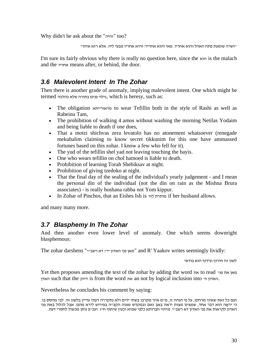<span id="page-29-0"></span>Why didn't he ask about the "והיה "too?

"ושרה שומעת פתח האהל והוא אחריו. מאי והוא אחריו? והיא אחריו מבעי ליה. אלא רזא איהו"

I'm sure its fairly obvious why there is really no question here, since the  $\pi$  is the malach and the אחריו means after, or behind, the door.

## *3.6 Malevolent Intent In The Zohar*

Then there is another grade of anomaly, implying malevolent intent. One which might be termed כהלכה שלא בתורה פנים גילוי, which is heresy, such as:

- The obligation מדאורייתא to wear Tefillin both in the style of Rashi as well as Rabeinu Tam,
- The prohibition of walking 4 amos without washing the morning Netilas Yodaim and being liable to death if one does,
- That a motzi shichvas zera levatolo has no atonement whatsoever (renegade mekubalim claiming to know secret tikkunim for this one have ammassed fortunes based on this zohar. I know a few who fell for it).
- The yud of the tefillin shel yad not leaving touching the bayis.
- One who wears tefillin on chol hamoed is liable to death.
- Prohibition of learning Torah Shebiksav at night.
- Prohibition of giving tzedoko at night.
- That the final day of the sealing of the individual's yearly judgement and I mean the personal din of the individual (not the din on rain as the Mishna Brura associates) - is really hoshana rabba not Yom kippur.
- In Zohar of Pinchos, that an Eishes Ish is לזר מותרת if her husband allows.

and many many more.

#### *3.7 Blasphemy In The Zohar*

And then another even lower level of anomaly. One which seems downright blasphemous:

The zohar darshens "מאן פני האדון ייז דא רשב "and R' Yaakov writes seemingly lividly:

לשון זה חירוף וגידוף הוא בודאי

Yet then proposes amending the text of the zohar by adding the word את to read פני את מאן האדון הי such that the האדון is from the word את an not by logical inclusion into  $\pi$ 

Nevertheless he concludes his comment by saying:

ועם כל זאת שאיני מרחקו, על פי הגהה זו, מ"מ איני מקרבו בשתי ידים ולא נתקררה דעתי עדיין בלשון זה. לבי מהסס בו. כי יראָה הוא דבר אחד, שמצינו מצות יראה באב ואם ובמקדש שצוה הקב"ה בפירוש לירא מהם. אבל לכלול באת פני האדון להראות את פני האדון דא רשב״י. מיחזי חברותא כלפי שמיא וכעין שיתוף ח״ו. ועכ״פ נותן מכשול לחסרי דעת.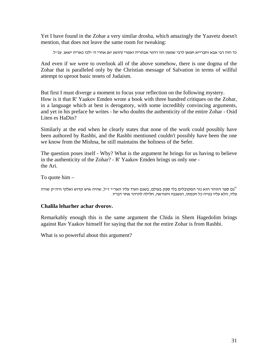Yet I have found in the Zohar a very similar drosha, which amazingly the Yaavetz doesn't mention, that does not leave the same room for tweaking:

```
כד הוה רבי אבא וחברייא חמאן לרבי שמעון הוו רהטי אבתריה ואמרי (הושע יא) אחרי ה' ילכו כאריה ישאג. עכ"ל.
```
And even if we were to overlook all of the above somehow, there is one dogma of the Zohar that is paralleled only by the Christian message of Salvation in terms of willful attempt to uproot basic tenets of Judaism.

But first I must diverge a moment to focus your reflection on the following mystery. How is it that R' Yaakov Emden wrote a book with three hundred critiques on the Zohar, in a language which at best is derogatory, with some incredibly convincing arguments, and yet in his preface he writes - he who doubts the authenticity of the entire Zohar - Osid Liten es HaDin?

Similarly at the end when he clearly states that none of the work could possibly have been authored by Rashbi, and the Rashbi mentioned couldn't possibly have been the one we know from the Mishna, he still maintains the holiness of the Sefer.

The question poses itself - Why? What is the argument he brings for us having to believe in the authenticity of the Zohar? - R' Yaakov Emden brings us only one the Ari.

To quote him –

<sup>וי</sup>גם ספר הזוהר הוא נזר המקובלים בלי ספק בעולם, בשגם העיד עליו האר׳׳י ז׳׳ל, שהיה איש קדוש ואלקי ורה׳׳ק שורה<br>עליו, הלא עליו בנויה כל חכמתו, הנשגבה והנוראה, חלילה להרהר אחר דבריו.

#### **Chalila leharher achar dvorov.**

Remarkably enough this is the same argument the Chida in Shem Hagedolim brings against Rav Yaakov himself for saying that the not the entire Zohar is from Rashbi.

What is so powerful about this argument?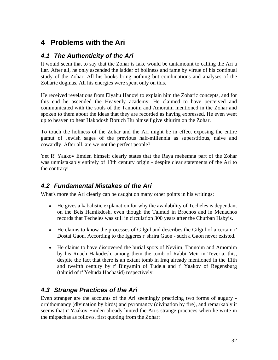# <span id="page-31-0"></span>**4 Problems with the Ari**

## *4.1 The Authenticity of the Ari*

It would seem that to say that the Zohar is fake would be tantamount to calling the Ari a liar. After all, he only ascended the ladder of holiness and fame by virtue of his continual study of the Zohar. All his books bring nothing but combinations and analyses of the Zoharic dogmas. All his energies were spent only on this.

He received revelations from Elyahu Hanovi to explain him the Zoharic concepts, and for this end he ascended the Heavenly academy. He claimed to have perceived and communicated with the souls of the Tannoim and Amoraim mentioned in the Zohar and spoken to them about the ideas that they are recorded as having expressed. He even went up to heaven to hear Hakodosh Boruch Hu himself give shiurim on the Zohar.

To touch the holiness of the Zohar and the Ari might be in effect exposing the entire gamut of Jewish sages of the previous half-millennia as superstitious, naive and cowardly. After all, are we not the perfect people?

Yet R' Yaakov Emden himself clearly states that the Raya mehemna part of the Zohar was unmistakably entirely of 13th century origin - despite clear statements of the Ari to the contrary!

## *4.2 Fundamental Mistakes of the Ari*

What's more the Ari clearly can be caught on many other points in his writings:

- He gives a kabalistic explanation for why the availability of Techeles is dependant on the Beis Hamikdosh, even though the Talmud in Brochos and in Menachos records that Techeles was still in circulation 300 years after the Churban Habyis.
- He claims to know the processes of Gilgul and describes the Gilgul of a certain r' Dostai Gaon. According to the Iggeres r' shrira Gaon - such a Gaon never existed.
- He claims to have discovered the burial spots of Neviim, Tannoim and Amoraim by his Ruach Hakodesh, among them the tomb of Rabbi Meir in Teveria, this, despite the fact that there is an extant tomb in Iraq already mentioned in the 11th and twelfth century by r' Binyamin of Tudela and r' Yaakov of Regensburg (talmid of r' Yehuda Hachasid) respectively.

## *4.3 Strange Practices of the Ari*

Even stranger are the accounts of the Ari seemingly practicing two forms of augury ornithomancy (divination by birds) and pyromancy (divination by fire), and remarkably it seems that r' Yaakov Emden already hinted the Ari's strange practices when he write in the mitpachas as follows, first quoting from the Zohar: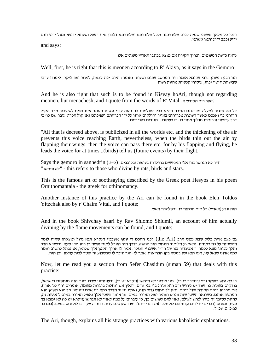והכי כל מלאך אשתני שמיה כפום שליחותיה ולכל שליחותא ושליחותא דלהון אית רגעא ושעתא ידיעא ומזל ידיע ויום ידיע וככב ידיע ותמן אשתני.

and says:

נראה כדעת המעוננים. וצריך חקירה אם נמצא בכתבי האר"י מענינים אלו.

Well, first, he is right that this is meonen according to R' Akiva, as it says in the Gemoro:

תנו רבנן: מעונן...רבי עקיבא אומר: זה המחשב עתים ושעות, ואומר: היום יפה לצאת, למחר יפה ליקח, לימודי ערבי שביעיות חיטין יפות, עיקורי קטניות מהיות רעות

And he is also right that such is to be found in Kisvay hoAri, though not regarding meonen, but menachesh, and I quote from the words of R' Vital :ה הקודש רוח שער:

כל מה שנגזר למעלה מכריזים הגזרה ההיא בכל העולמות כו' והנה עבוי וגסות האויר אינו מניח לשיעבור וירד הקול הרוחני כו׳ ואמנם כאשר העופות מפריחים באויר וחולקים אותו על ידי הפרחתם ועפיפתם ואז קול הכרוז עובר שם כו׳ כי<br>דרך עפיפתו ופריחתו מוליך אותו כו׳ כי פעמים... מגידים בעפיפתם.

"All that is decreed above, is publicized in all the worlds etc. and the thickening of the air prevents this voice reaching Earth, nevertheless, when the birds thin out the air by flapping their wings, then the voice can pass there etc. for by his flapping and flying, he leads the voice for at times...(birds) tell us (future events) by their flight."

Says the gemoro in sanhedrin (ס"ו.) הייר לא תנחשו כגון אלו המנחשים בחולדות בעופות ובכוכבים. "לא תנחשו - this refers to those who divine by rats, birds and stars.

This is the famous art of soothsaying described by the Greek poet Hesyos in his poem Ornithomantaia - the greek for othinomancy.

Another instance of this practice by the Ari can be found in the book Eleh Toldos היה יודע (האר״י) כל מיני חכמות כו' ובWitzchak also by r' Chaim Vital, and I quote:<br>היה יודע (האר״י) כל מיני חכמות כו' ובשלהבת האש.

And in the book Shivchay haari by Rav Shlomo Shlumil, an account of him actually divining by the flame movements can be found, and I quote:

גם פעם אחת בליל שבת נכנס הרב (the Ari) לפני החכם ר׳ יוסף אשכנזי הנקרא תנא גדול ומצאהו שהיה לומד המשניות על פה כמנהגו, ובאמצע הלימוד התחיל הנר מפעפע כדרך הנר הנופל למים ועשה כן כמו חצי שעה. וכשיצא הרב<br>והלד לביתו מצא לכמה״ר אביגדור בנו של הר״י אשכנזי הנזכר. אמר לו אחיד הקטו איד שלומו. אז נבהל להשיב ואמר למה אדוני שואל עיו, הנה הוא ישן במטה בקו הבריאות. אמר לו- הנר סיפר לי שבשבוע זה יפטר לבית עולמו. וכן היה.

Now, let me read you a section from Sefer Chasidim (siman 59) that deals with this כי לא נחש ביעקב וכו' (במדבר כג כג), צונו צורינו לא תנחשו (ויקרא יט כו), ובעונותינו שרבו כיום הזה מנחשים בישראל, :practice

בודקים בעונות כו' ועוד יש ניחוש ורב הוא ונוהג בין בני אדם, רואין אש וגחלות בוערות מעומד, אומרים יהי' לנו אורח, אם תכבהו במים האורח יפול במים, ואין לך ניחוש גדול מזה, ואמת ויציב הדבר כמה בני אדם ניסוהו, אך הוא השטן הוא המתעה אותם. כשרואה השטן שזה מנחש ואומר יפול האורח במים, אז אומר השטן אלך ואפיל האורח במים להטעות זה, להיות לסימן זה בידו לנחש לעולם, ואוי להם לעושים כך, כי עוברים על כמה לאוין לא תנחשו (ויקרא יט כו) לא ימצא בך מעונן ומנחש (דברים יח י) ובחקותיהם לא תלכו (ויקרא י"ח:ג), ועוד שעושים עדות התורה שקר כי לא נחש ביעקב (במדבר כג:כייג). עכייל.

The Ari, though, explains all his strange practices with various kabalistic explanations.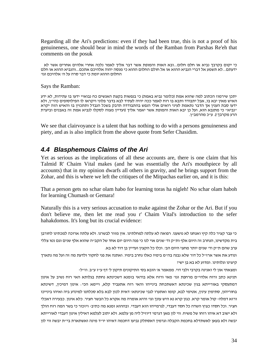<span id="page-33-0"></span>Regarding all the Ari's predictions: even if they had been true, this is not a proof of his genuineness, one should bear in mind the words of the Ramban from Parshas Re'eh that comments on the posuk

כי יקום בקרבך נביא או חלם חלום...ובא האות והמופת אשר דבר אליך לאמר נלכה אחרי אלהים אחרים אשר לא ידעתם...לא תשמע אל דברי הנביא ההוא או אל חולם החלום ההוא כי מנסה יהוה אלהיכם אתכם...והנביא ההוא או חלם<br>החלום ההוא יומת כי דבר סרה על הי אלהיכם וגוי

Says the Ramban:

יתכן שירמוז הכתוב למה שהוא אמת (כלומר נביא באמת) כי בנפשות בקצת האנשים כח נבואיי ידעו בו עתידות, לא ידע האיש מאין יבא בו, אבל יתבודד ותבא בו רוח לאמר ככה יהיה לעתיד לבא בדבר פלוני ויקראו לו הפילוסופים כהי"ן, ולא ידעו סבת הענין אך הדבר נתאמת לעיני רואים אולי הנפש בהתבודדה תדבק בשכל הנבדל ותתכוין בו והאיש הזה יקרא "נביא" כי מתנבא הוא, ועל כן יבא האות והמופת אשר יאמר אליך (ועדיין מצוה לסקלו לנביא אמת זה באבנים וביערת הרע מקרבך!). ע"כ מהרמב"ן.

We see that clairvoyance is a talent that has nothing to do with a persons genuineness and piety, and as is also implicit from the above quote from Sefer Chasidim.

#### *4.4 Blasphemous Claims of the Ari*

Yet as serious as the implications of all these accounts are, there is one claim that his Talmid R' Chaim Vital makes (and he was essentially the Ari's mouthpiece by all accounts) that in my opinion dwarfs all others in gravity, and he brings support from the Zohar, and this is where we left the critiques of the Mitpachas earlier on, and it is this:

That a person gets no schar olam habo for learning toras ha nigleh! No schar olam haboh for learning Chumash or Gemara!

Naturally this is a very serious accusation to make against the Zohar or the Ari. But if you don't believe me, then let me read you r' Chaim Vital's introduction to the sefer hahakdomos. It's long but its crucial evidence:

כי עבר קציר כלה קיץ ואנחנו לא נושענו. רפואה לא עלתה למחלתינו. אין מזור לבשרנו. ולא עלתה ארוכה למכתינו לחורבן בית מקדשינו, הנחרב זה היום אלף ות"ק וד' שנים אוי לנו כי פנה היום יום אחד של הקב"ה שהוא אלף שנים וגם נטו צללי ערב שהם ת"ק וד' שנים יותר מחצי היום הב'. וכלו כל הקצין ועדיין בן דוד לא בא.

ונודע את אשר ארז"ל כל דור שלא נבנה בה"מ בימיו כאלו נחרב בימיו. ואתנה את פני לחקור ולדעת מה זה ועל מה נתארך קיצינו וגלותינו. ומדוע לא בא בן ישי?

ומצאתי און לי ואנינה בקרבי ולבי דוי. ממאמר א' הובא בס' התיקונים תיקון ל' עדף "ז ע"ב. וז"ל-

תנינא כתב ורוח אלהי"ם מרחפת וגו' מאי ורוח אלא בודאי בזמנא דשכינתא נחתת בגלותא האי רוח נשיב על אינון דמתעסקי באורייתא בגין שכינתא דאשתכחת בינייהו והאי רוח אתעביד קלא, ויימא הכי: אינון דמיכין, דשינתא בחוריהון, סתימין עינין, אטימי לבא, קומו ואתערו לגבי שכינתא! דאית לכון לבא בלא סכלתנו למינדע ביה ואיהו בינייכו ורזא דמלה- קול אומר קרא. כגון קרא נא היש עונך וגו' והיא אומרה מה אקרא כל הבשר חציר. כלא אינון. כבעירה דאכלי חציר. וכל חסדו כציץ השדה כל חסד דעבדי, לגרמייהו הוא דעבדי. ובההוא זמנא מה כתיב- ויזכור כי בשר המה רוח הולך ולא ישוב דא איהו רוחו של משיח. ווי לון מאן דגרמי דיוזיל ליה מן עלמא. ולא יתוב לעלמא דאילין אינון דעבדי לאורייתא יבשה ולא בעאן לאשתדלא בחכמת הקבלה וגרמין דאסתלק נביעו דחכמה דאיהו יו"ד מינה ואשתארת בי"ת יבשה ווי לון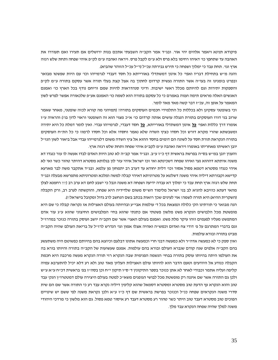פיקודא תנינא ויאמר אלהים יהי אור. ובג"ד אמר הקב"ה השבעתי אתכם בנות ירושלים אם תעירו ואם תעוררו את האהבה עד שתחפץ כו' דאיהו רחימו בלא פרס ולא ע"מ לקבל פרס. ויראה ואהבה ע"מ לק"פ איהי שפחה ותחת שלש רגזה ארץ וגו'. תחת עבד כי ימלוך ושפחה כי תירש גבירתה עכ "ל (ר"ל עכ"ל הזוהר שהביא).

והנה מ"ש בתחילת דבריו ואפי' כל אינון דמשתדלי באורייתא כל חסד דעבדי לגרמייהו וכו' עם היות שפשטו מבואר ובפרט בזמנינו זה בעו"ה אשר התורה נעשית קרדום לחתוך בה אצל קצת בעלי תורה אשר עסקם בתורה ע"מ לק"פ והספקות יתירות וגם להיותם מכלל ראשי ישיבות. ודיני סנהדראות להיות שמם וריחם נודף בכל הארץ כו' ואמנם האנשים האלה מראים תימה וענוה באמרם כי כל עסקם בתורה הוא לשמה כו' האמנם אע"פ שלכאורה אפשר לפרש לשון המאמר על אופן זה, עכ"ז דבר קשה מאד מאד לומר.

וכי בשופטני עסקינן ולא בכללות כל התלמידי חכמים העוסקים בתורה? (תמיהני מה קורא לכזה שופטני, מאחר שאמר שרוב בני דורו העוסקים בתורת הנגלה עושים אותה קרדום כו' א"כ מצוי הוא זה השופטני וראוי לדון בו!) והראיה ע"ז אומרו דרך כללות ואפי' **כל** אינון דמשתדלי באורייתא, **כל** חסד דעבדי, לגרמייהו עבדי. ואין לומר דמלת כל היא יתירה ומשבשתא שהרי מקרא דורש וכל חסדו כציץ השדה שלא נאמר וחסדו אלא וכל חסדו לרמוז כי כל התייח העוסקים בתורה הנקראת תורת חסד על לשונה הם דומים בחסד ההוא אל ציץ השדה משום דלגרמייהו עבדי אבל ביאור לשון הנז "ל יובן ראשיתו מאחריתו באומרו ויראה ואהבה ע"מ לקב"פ איהי שפחה ותחת שלש רגזה ארץ.

והענין יובן במ"ש בס"ה בפרשת בראשית דף כ"ז ע"ב. ובג"ד אמר קב"ה לא טוב היות האדם לבדו אעשה לו עזר כנגדו דא משנה איתתא דההוא נער ואיהו שפחה דשכינתא ואי זכו ישראל איהי עזר לון בגלותא מסטרא דהיתר טהור כשר ואי לא איהי כנגדו מסטרא דטמא פסול אסור וכו' דלית יחודא עד דערב רב יתמחון מן עלמא. ובג"ד אתקבר משה לבר מארעא קדישא וקבורתא דיליה איהי משנה דשלטא על מטרוניתא דאיהי קבלה למשה ומלכא ומטרוניתא מתפרשא מבעלה ובג "ד תחת שלש רגזה ארץ תחת עבד כי ימלוך דא עבדה ידיעה ושפחה דא משנה ונבל כי ישבע לחם דא ערב רב (!!! רחמנא לצלן מהאי דעתא כוזיבא להניא לב בני ישראל מלימוד הש"ס משום שלדידיה היא שפחה, והוקשתה לערב רב, ורק הקבלה (השקרית ההיא) היא תורה לשמה! אוי לעינים שכך רואות בכתב בשם הנחשב לרב גדול ומקובל בישראל!!).

הנה מבואר כי תורתינו הק' כלולה ונמצאת בכל ד' עולמות אבי"ע ובהיותה בעולם האצילות אז נקראה קבלה כי שם היא מופשטת מכל הלבושים הנקרא פשט מלשון פשטתי אם כתנתי שהוא בחיי המלבושים החיצוני שהוא עייג עור אדם המתפשט מעליו לפעמים וזהו עיקר מלת פשט. ואמנם בעולם האצי' אשר שם הקב"ה יושב ועוסק בתורה כנזכר במדרז "ל וגם בדברי המתרגם על פ׳ דודי צח ואדום וכמש״ה ואהיה אצלו אמון וגו׳ הנדרש לרז״ל על בריאת העולם שהיה הקב״ה מביט בתורה ובורא עולמות.

ואין ספק כי לא כמעשה אדה"ר ולא כמעשה דבני חרי וכמעשה אתונו דבלעם וכיוצא בהם בהיותם כפשוטם היה משתעשע בהם הקב״ה אלפים שנה קודם שנברא העולם ובורא בהם עולמות. אמנם שעשועות של הקב״ה בתורה והיותו בורא בה את העולמו היתה בהיותו עוסק בתורה בבחי' הנשמה הפנימית שבה הנקרא רזי תורה הנקרא מעשה מרכבה היא חכמת הקבלה כנודע אל היודעים וטעם הדבר הוא להיותו עולם האצילות העליון מאד טוב ולא רע דלא יכיל להתערבא עמיה קליפה ועליה אתמר וכבודי לאחר לא אתן כנזכר בספר התיקונין ד' ס"ו תיקון י"ח וכן בסה"ז בפ' בראשית דכ"ח ע"א ע"ש ולכן גם התורה אשר שם איננה רק מופשטת מכל לבושי הגופנים משא"כ למטה בעולם היצירה עולם דמטטרו"ן הנק' עבד טוב והוא הנקרא עץ הדעת טוב מסטרא ומסטרא דסמאל שהוא קליפין דיליה נקרא עבד רע כי התורה אשר שם הם שית סדרי משנה הנקראים שפחה כנ"ל וכנזכר בפרשת בראשית שם דף כ"ז ע"א ולכן נקראת משנה לפי ששם יש שינויים הפוכים טוב מסטרא דעבד טוב היתר כשר טהור רע מסטרא דעבד רע איסור טמא פסול. גם הוא מלשון כי מרדכי היהודי משנה למלך שהיה שפחה הנקרא עבד מלך.

35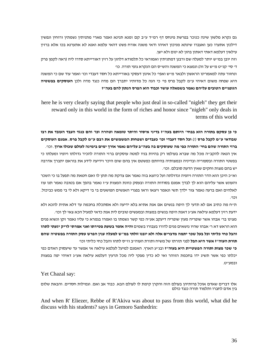גם נקרא מלשון שינה כנזכר בפרשת פינחס דף רמ"ד ע"ב קם זמנא תנינא ואמר מארי מתניתין נשמתין ורוחין ונפשין דילכון אתערו כען ואעברו שינתא מניכון דאיהו ודאי משנה אורח פשט דהאי עלמא ואנא לא אתערנא בכו אלא ברזין עילאין דעלמא דאתי דאתון בהון לא ינום ולא ישן.

וזה יובן במ"ש יותר למעלה שם ורבנן דמתניתין ואמוראי כל תלמודא דלהון על רזין דאורייתא סדרו ליה (ראה לקמן פרק ד' סי' קנ"ט מ"ש על זה) ונמצא כי המשנה והש"ס הם הנקרא גופי תורה. כו'

ונחזור עתה למאמרינו הראשון ולבאר מ"ש ואפי' כל אינון דעסקי באורייתא כל חסד דעבדי וכו' ואמר עוד שם כי המשנה היא שפחה משום דאיהי ע"מ לקבל פרס פי' כי הנה כל מדותיו יתברך הם מדה כנגד מדה ולכן **העוסקים בפשטיה הגופניים הטובים עליהם נאמר בשמאלה עושר וכבוד הוא הפרס הנתון להם בעה"ז** 

here he is very clearly saying that people who just deal in so-called "nigleh" they get their reward only in this world in the form of riches and honor since "nigleh" only deals in terms of this world

כי כן עסקם בתורה הוא בבחי' היותם בעה"ז בדיני איסור והיתר טומאה וטהרה וכו' והם כנגד העבד העובד את רבו שבודאי ע״מ לקבל פרס (!) וכל חסד דעבדי וכו׳ כעבדים ושפחות המשמשים את רבם ע״מ לקבל פרס. אמנם העוסקים ברזי התורה שהם בחי׳ התורה כפי מה שעוסקים בה בעה״ב עליהם נאמר אורך ימים בימינה לעולם שכולו ארוך. וכו׳. אין הנאה להקב"ה מכל מה שברא בעולמו רק בהיות בניו למטה עוסקים ברזי התורה להכיר גדולתו ויופיו ומעלתו כי בפשטי התורה ובספוריה ובדיניה ובמצותיה בהיותם כפשטם אין בהם שום היכר וידיעה לידע את בוראם יתברך אדרבה יש בהם מצות וחקים שאין הדעת סובלם. וכו .'

וא"כ היכן הוא הדר התורה ויופיה וגדולתה ועל כיוצא בזה נאמר אם צדקת מה תתן לו ואם חטאת מה תפעל בו כי השכר והעונש אשר עליהם הוא לך לבדך אמנם בסודות התורה ובעסק כוונת המצות ע"ז נאמר בהפך אם בטובה נאמר תנו עוז לאלהים ואם ברעה נאמר צור ילדך תשי ונאמר ויצאו וראו בפגרי האנשים הפושעים בי בי דיקא ולא לי בי ממש כביכול. וכו .'

ת"ח מה כתיב אם לא תדעי לך היפה בנשים אם אנת אתיא בלא ידיעה ולא אסתכלת בחכמה עד דלא אתית להכא ולא ידעת רזין דעלמא עילאה אעייג דאנת היפה בנשים במצות ובמעשים טובים לית אנת כדאי למעיל הכא צאי לך וכו׳. מצינו בר' אבהו אשר שופריה מעין שופריה דיעקב אע"ה כפי קשר נשמתו בו ואמרו בגמרא כי עליו נאמר זקן ונשוא פנים הוא הראש דא ר' אבהו שהיו נושאים פנים לדורו בעבורו בשמים **והיה אומר בשעת פטירתו ואני אמרתי לריק יגעתי לתהו** והבל כחי כליתי וכל בעל שכר יתמה מדברים אלה ולא יובנו זולתי במ"ש למעלה עניו הפרש עסק התורה בפשטיה שהם **תורת העוה"ז אשר היא הבל** לפני תורתו של משיח ותורת העוה"ב וז"ס לתהו והבל כחי כליתי וכו'

**כי שכר מצות ותורה הפשטיית היא בעוה"ז** " ובג ע הארץ. האמנם למיעל לעלמא עילאה אי אפשר עד שיעסוק האדם כפי יכלתו כפי אשר תשיג ידו בחכמת הזוהר ואי לא כדין מפקי ליה מכל תרעין דעלמא עילאה אע"ג דאיהי יפה במצות ורמעייכו

#### Yet Chazal say:

אלו דברים שאדם אוכל פרותיהן בעולם הזה והקרן קימת לו לעולם הבא. כבוד אב ואם. וגמילות חסדים. והבאת שלום<br>בין אדם לחברו ותלמוד תורה כנגד כולם

And when R' Eliezer, Rebbe of R'Akiva was about to pass from this world, what did he discuss with his students? says in Gemoro Sanhedrin: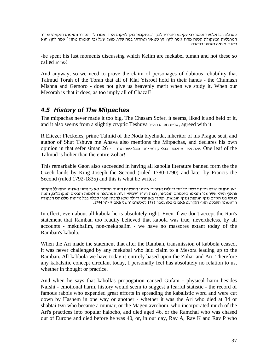<span id="page-36-0"></span>כשחלה רבי אליעזר נכנסו רבי עקיבא וחביריו לבקרו...נתקבצו כולן למקום אחד. אמרו לו: הכדור והאמוס והקמיע וצרור המרגליות ומשקולת קטנה מהו≀ אמר להן. הן טמאין וטהרתן במה שהן. מנעל שעל גבי האמוס מהו≀ <sup>-</sup> אמר להן. הוא<br>טהור. ויצאה נשמתו בטהרה

-he spent his last moments discussing which Kelim are mekabel tumah and not these so !סודות called

And anyway, so we need to prove the claim of personages of dubious reliability that Talmud Torah of the Torah that all of Klal Yisroel hold in their hands - the Chumash Mishna and Gemoro - does not give us heavenly merit when we study it, When our Mesorah is that it does, as too imply all of Chazal?

#### *4.5 History of The Mitpachas*

The mitpachas never made it too big. The Chasam Sofer, it seems, liked it and held of it, and it also seems from a slightly cryptic Teshuva וישע חתיש agreed with it.

R Eliezer Fleckeles, prime Talmid of the Noda biyehuda, inheritor of his Prague seat, and author of Shut Tshuva me Ahava also mentions the Mitpachas, and declares his own ועלה אחד מתלמוד בבלי קדוש יותר מכל ספר הזוהר - 26 spinion in that sefer siman  $26$  - עלה אחד מתלמוד בבלי קדוש יותר מכל ספר Talmud is holier than the entire Zohar!

This remarkable Gaon also succeeded in having all kabolla literature banned form the the Czech lands by King Joseph the Second (ruled 1780-1790) and later by Francis the Second (ruled 1792-1835) and this is what he writes:

באו ונחזיק טובה וחינות לשני מלכים גדולים אדירים אדוננו המשובח המנוח הקיסר יאזעף השני ואדוננו המהולל הקיסר פראנץ השני אשר צפו והביטו בחכמתם הנפלאה, רבות רעות ושבושי דעות תסתעפנה מחלומות והבלים המקובלים, והמה לנזקי בני האדם נזקי הגופות ונזקי הנפשות, ופקדו באזהרה גדולה שלא להביא ספרי קבלה בכל מדינות מלכותם הפקודה<br>הראשונה העכסט האף דעקרעט פאם ב׳ נאוועמבר 1785 למספרם והשני פאם ז׳ יוני 1794.

In effect, even about all kabola he is absolutely right. Even if we don't accept the Ran's statement that Ramban too readily believed that kabola was true, nevertheless, by all accounts - mekubalim, non-mekubalim - we have no massores extant today of the Ramban's kabola.

When the Ari made the statement that after the Ramban, transmission of kabbola ceased, it was never challenged by any mekubal who laid claim to a Mesora leading up to the Ramban. All kabbola we have today is entirely based upon the Zohar and Ari. Therefore any kabalsitic concept circulant today, I personally feel has absolutely no relation to us, whether in thought or practice.

And when he says that kabollas propogation caused Gufani - physical harm besides Nafshi - emotional harm, history would seem to suggest a fearful statistic - the record of famous rabbis who expended great efforts in spreading the kabalistic word and were cut down by Hashem in one way or another - whether it was the Ari who died at 34 or shabtai tzvi who became a mumar, or the Magen avrohom, who incorporated much of the Ari's practices into popular halocho, and died aged 46, or the Ramchal who was chased out of Europe and died before he was 40, or, in our day, Rav A, Rav K and Rav P who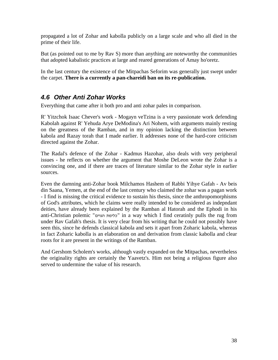<span id="page-37-0"></span>propagated a lot of Zohar and kabolla publicly on a large scale and who all died in the prime of their life.

But (as pointed out to me by Rav S) more than anything are noteworthy the communities that adopted kabalistic practices at large and reared generations of Amay ho'oretz.

In the last century the existence of the Mitpachas Seforim was generally just swept under the carpet. **There is a currently a pan-chareidi ban on its re-publication.**

## *4.6 Other Anti Zohar Works*

Everything that came after it both pro and anti zohar pales in comparison.

R' Yitzchok Isaac Chever's work - Mogayn veTzina is a very passionate work defending Kabolah against R' Yehuda Arye DeModina's Ari Nohem, with arguments mainly resting on the greatness of the Ramban, and in my opinion lacking the distinction between kabola and Razay torah that I made earlier. It addresses none of the hard-core criticism directed against the Zohar.

The Radal's defence of the Zohar - Kadmus Hazohar, also deals with very peripheral issues - he reflects on whether the argument that Moshe DeLeon wrote the Zohar is a convincing one, and if there are traces of literature similar to the Zohar style in earlier sources.

Even the damning anti-Zohar book Milchamos Hashem of Rabbi Yihye Gafah - Av beis din Saana, Yemen, at the end of the last century who claimed the zohar was a pagan work - I find is missing the critical evidence to sustain his thesis, since the anthropomorphisms of God's attributes, which he claims were really intended to be considered as indepndant deities, have already been explained by the Ramban al Hatorah and the Ephodi in his anti-Christian polemic "הגוים כלימת "in a way which I find ceratinly pulls the rug from under Rav Gafah's thesis. It is very clear from his writing that he could not possibly have seen this, since he defends classical kabola and sets it apart from Zoharic kabola, whereas in fact Zoharic kabolla is an elaboration on and derivation from classic kabolla and clear roots for it are present in the writings of the Ramban.

And Gershom Scholem's works, although vastly expanded on the Mitpachas, nevertheless the originality rights are certainly the Yaavetz's. Him not being a religious figure also served to undermine the value of his research.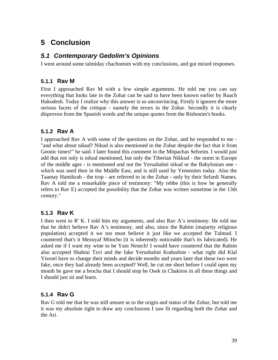## <span id="page-38-0"></span>**5 Conclusion**

#### *5.1 Contemporary Gedolim's Opinions*

I went around some talmiday chachomim with my conclusions, and got mixed responses.

#### **5.1.1 Rav M**

First I approached Rav M with a few simple arguments. He told me you can say everything that looks late in the Zohar can be said to have been known earlier by Ruach Hakodesh. Today I realize why this answer is so unconvincing. Firstly it ignores the more serious facets of the critique - namely the errors in the Zohar. Secondly it is clearly disproven from the Spanish words and the unique quotes from the Rishonim's books.

#### **5.1.2 Rav A**

I approached Rav A with some of the questions on the Zohar, and he responded to me - "and what about nikud? Nikud is also mentioned in the Zohar despite the fact that it from Geonic times!" he said. I later found this comment in the Mitpachas Seforim. I would just add that not only is nikud mentioned, but only the Tiberian Nikkud - the norm in Europe of the middle ages - is mentioned and not the Yerushalmi nikud or the Babylonian one which was used then in the Middle East, and is still used by Yemenites today. Also the Taamay Hamikrah - the trop - are referred to in the Zohar - only by their Sefardi Names. Rav A told me a remarkable piece of testimony: "My rebbe (this is how he generally refers to Rav E) accepted the possibility that the Zohar was written sometime in the 13th century."

#### **5.1.3 Rav K**

I then went to R' K. I told him my arguments, and also Rav A's testimony. He told me that he didn't believe Rav A's testimony, and also, since the Rabim (majority religious population) accepted it we too must believe it just like we accepted the Talmud. I countered that's it Mezuyaf Mitocho (it is inherently noticeable that's its fabricated). He asked me if I want my wine to be Yain Nesech! I would have countered that the Rabim also accepted Shabtai Tzvi and the fake Yerushalmi Kodoshim - what right did Klal Yisroel have to change their minds and decide months and years later that these two were fake, once they had already been accepted? Well, he cut me short before I could open my mouth he gave me a brocha that I should stop be Osek in Chakiros in all these things and I should just sit and learn.

#### **5.1.4 Rav G**

Rav G told me that he was still unsure as to the origin and status of the Zohar, but told me it was my absolute right to draw any conclusions I saw fit regarding both the Zohar and the Ari.